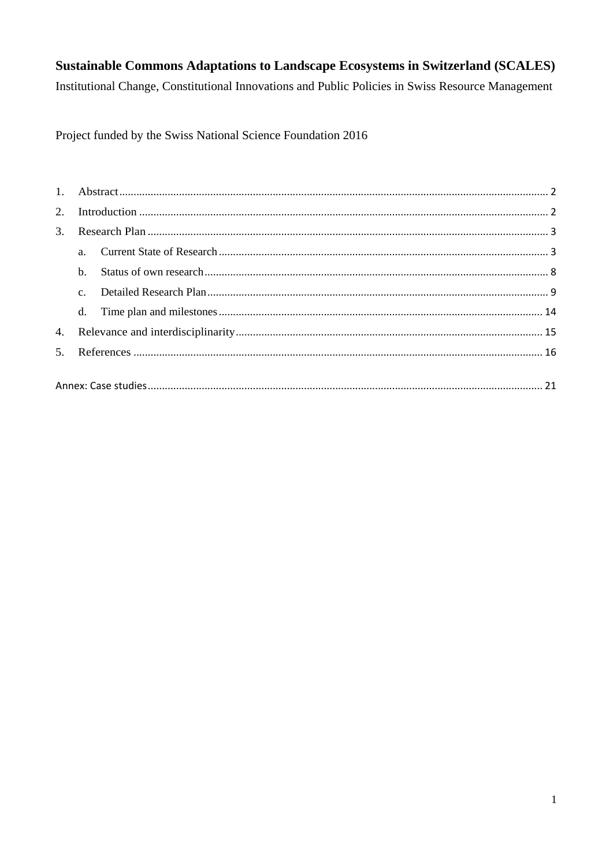## Sustainable Commons Adaptations to Landscape Ecosystems in Switzerland (SCALES)

Institutional Change, Constitutional Innovations and Public Policies in Swiss Resource Management

Project funded by the Swiss National Science Foundation 2016

| a.             |  |  |  |  |  |
|----------------|--|--|--|--|--|
| $b$ .          |  |  |  |  |  |
| C <sub>1</sub> |  |  |  |  |  |
|                |  |  |  |  |  |
|                |  |  |  |  |  |
|                |  |  |  |  |  |
|                |  |  |  |  |  |
|                |  |  |  |  |  |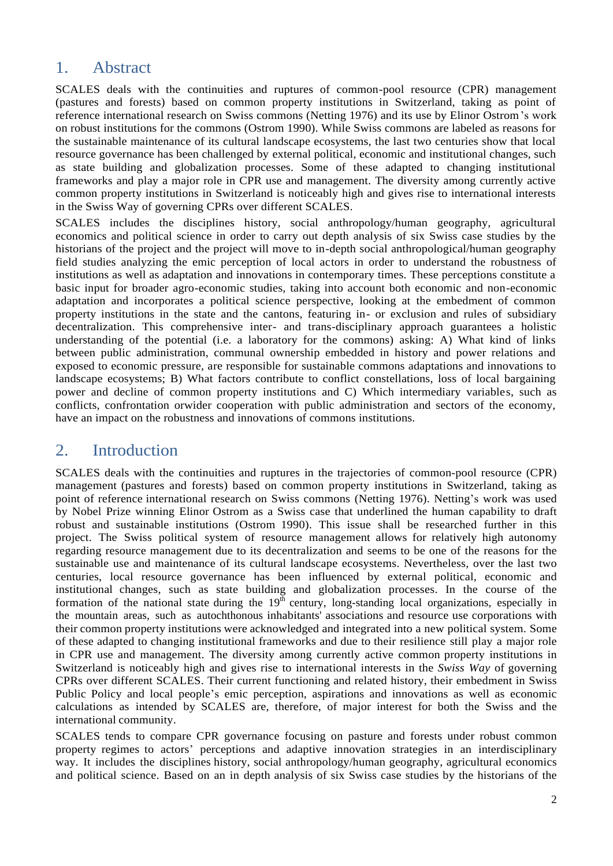## <span id="page-1-0"></span>1. Abstract

SCALES deals with the continuities and ruptures of common-pool resource (CPR) management (pastures and forests) based on common property institutions in Switzerland, taking as point of reference international research on Swiss commons (Netting 1976) and its use by Elinor Ostrom's work on robust institutions for the commons (Ostrom 1990). While Swiss commons are labeled as reasons for the sustainable maintenance of its cultural landscape ecosystems, the last two centuries show that local resource governance has been challenged by external political, economic and institutional changes, such as state building and globalization processes. Some of these adapted to changing institutional frameworks and play a major role in CPR use and management. The diversity among currently active common property institutions in Switzerland is noticeably high and gives rise to international interests in the Swiss Way of governing CPRs over different SCALES.

SCALES includes the disciplines history, social anthropology/human geography, agricultural economics and political science in order to carry out depth analysis of six Swiss case studies by the historians of the project and the project will move to in-depth social anthropological/human geography field studies analyzing the emic perception of local actors in order to understand the robustness of institutions as well as adaptation and innovations in contemporary times. These perceptions constitute a basic input for broader agro-economic studies, taking into account both economic and non-economic adaptation and incorporates a political science perspective, looking at the embedment of common property institutions in the state and the cantons, featuring in- or exclusion and rules of subsidiary decentralization. This comprehensive inter- and trans-disciplinary approach guarantees a holistic understanding of the potential (i.e. a laboratory for the commons) asking: A) What kind of links between public administration, communal ownership embedded in history and power relations and exposed to economic pressure, are responsible for sustainable commons adaptations and innovations to landscape ecosystems; B) What factors contribute to conflict constellations, loss of local bargaining power and decline of common property institutions and C) Which intermediary variables, such as conflicts, confrontation orwider cooperation with public administration and sectors of the economy, have an impact on the robustness and innovations of commons institutions.

# <span id="page-1-1"></span>2. Introduction

SCALES deals with the continuities and ruptures in the trajectories of common-pool resource (CPR) management (pastures and forests) based on common property institutions in Switzerland, taking as point of reference international research on Swiss commons (Netting 1976). Netting's work was used by Nobel Prize winning Elinor Ostrom as a Swiss case that underlined the human capability to draft robust and sustainable institutions (Ostrom 1990). This issue shall be researched further in this project. The Swiss political system of resource management allows for relatively high autonomy regarding resource management due to its decentralization and seems to be one of the reasons for the sustainable use and maintenance of its cultural landscape ecosystems. Nevertheless, over the last two centuries, local resource governance has been influenced by external political, economic and institutional changes, such as state building and globalization processes. In the course of the formation of the national state during the  $19<sup>th</sup>$  century, long-standing local organizations, especially in the mountain areas, such as autochthonous inhabitants' associations and resource use corporations with their common property institutions were acknowledged and integrated into a new political system. Some of these adapted to changing institutional frameworks and due to their resilience still play a major role in CPR use and management. The diversity among currently active common property institutions in Switzerland is noticeably high and gives rise to international interests in the *Swiss Way* of governing CPRs over different SCALES. Their current functioning and related history, their embedment in Swiss Public Policy and local people's emic perception, aspirations and innovations as well as economic calculations as intended by SCALES are, therefore, of major interest for both the Swiss and the international community.

SCALES tends to compare CPR governance focusing on pasture and forests under robust common property regimes to actors' perceptions and adaptive innovation strategies in an interdisciplinary way. It includes the disciplines history, social anthropology/human geography, agricultural economics and political science. Based on an in depth analysis of six Swiss case studies by the historians of the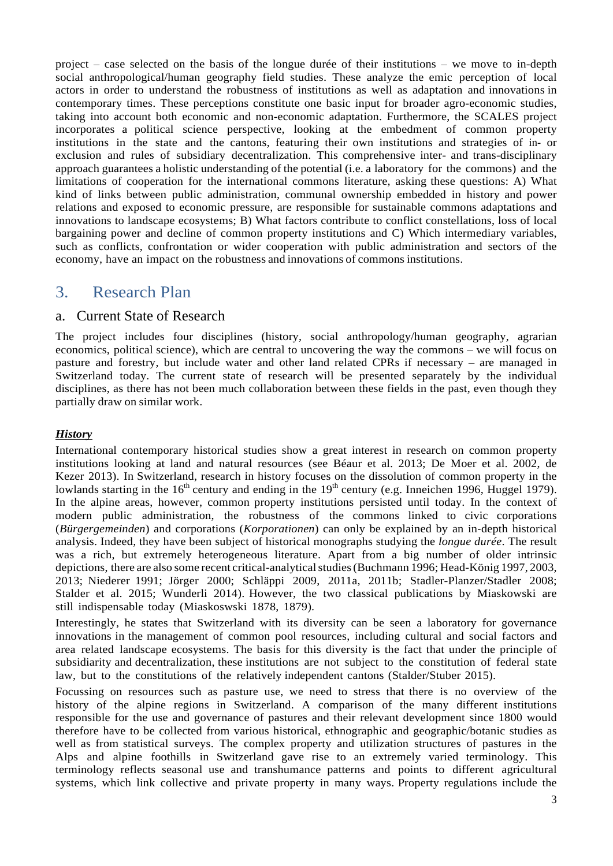project – case selected on the basis of the longue durée of their institutions – we move to in-depth social anthropological/human geography field studies. These analyze the emic perception of local actors in order to understand the robustness of institutions as well as adaptation and innovations in contemporary times. These perceptions constitute one basic input for broader agro-economic studies, taking into account both economic and non-economic adaptation. Furthermore, the SCALES project incorporates a political science perspective, looking at the embedment of common property institutions in the state and the cantons, featuring their own institutions and strategies of in- or exclusion and rules of subsidiary decentralization. This comprehensive inter- and trans-disciplinary approach guarantees a holistic understanding of the potential (i.e. a laboratory for the commons) and the limitations of cooperation for the international commons literature, asking these questions: A) What kind of links between public administration, communal ownership embedded in history and power relations and exposed to economic pressure, are responsible for sustainable commons adaptations and innovations to landscape ecosystems; B) What factors contribute to conflict constellations, loss of local bargaining power and decline of common property institutions and C) Which intermediary variables, such as conflicts, confrontation or wider cooperation with public administration and sectors of the economy, have an impact on the robustness and innovations of commons institutions.

### <span id="page-2-0"></span>3. Research Plan

### <span id="page-2-1"></span>a. Current State of Research

The project includes four disciplines (history, social anthropology/human geography, agrarian economics, political science), which are central to uncovering the way the commons – we will focus on pasture and forestry, but include water and other land related CPRs if necessary – are managed in Switzerland today. The current state of research will be presented separately by the individual disciplines, as there has not been much collaboration between these fields in the past, even though they partially draw on similar work.

#### *History*

International contemporary historical studies show a great interest in research on common property institutions looking at land and natural resources (see Béaur et al. 2013; De Moer et al. 2002, de Kezer 2013). In Switzerland, research in history focuses on the dissolution of common property in the lowlands starting in the 16<sup>th</sup> century and ending in the 19<sup>th</sup> century (e.g. Inneichen 1996, Huggel 1979). In the alpine areas, however, common property institutions persisted until today. In the context of modern public administration, the robustness of the commons linked to civic corporations (*Bürgergemeinden*) and corporations (*Korporationen*) can only be explained by an in‐depth historical analysis. Indeed, they have been subject of historical monographs studying the *longue durée*. The result was a rich, but extremely heterogeneous literature. Apart from a big number of older intrinsic depictions, there are also some recent critical-analytical studies (Buchmann 1996; Head-König 1997, 2003, 2013; Niederer 1991; Jörger 2000; Schläppi 2009, 2011a, 2011b; Stadler-Planzer/Stadler 2008; Stalder et al. 2015; Wunderli 2014). However, the two classical publications by Miaskowski are still indispensable today (Miaskoswski 1878, 1879).

Interestingly, he states that Switzerland with its diversity can be seen a laboratory for governance innovations in the management of common pool resources, including cultural and social factors and area related landscape ecosystems. The basis for this diversity is the fact that under the principle of subsidiarity and decentralization, these institutions are not subject to the constitution of federal state law, but to the constitutions of the relatively independent cantons (Stalder/Stuber 2015).

Focussing on resources such as pasture use, we need to stress that there is no overview of the history of the alpine regions in Switzerland. A comparison of the many different institutions responsible for the use and governance of pastures and their relevant development since 1800 would therefore have to be collected from various historical, ethnographic and geographic/botanic studies as well as from statistical surveys. The complex property and utilization structures of pastures in the Alps and alpine foothills in Switzerland gave rise to an extremely varied terminology. This terminology reflects seasonal use and transhumance patterns and points to different agricultural systems, which link collective and private property in many ways. Property regulations include the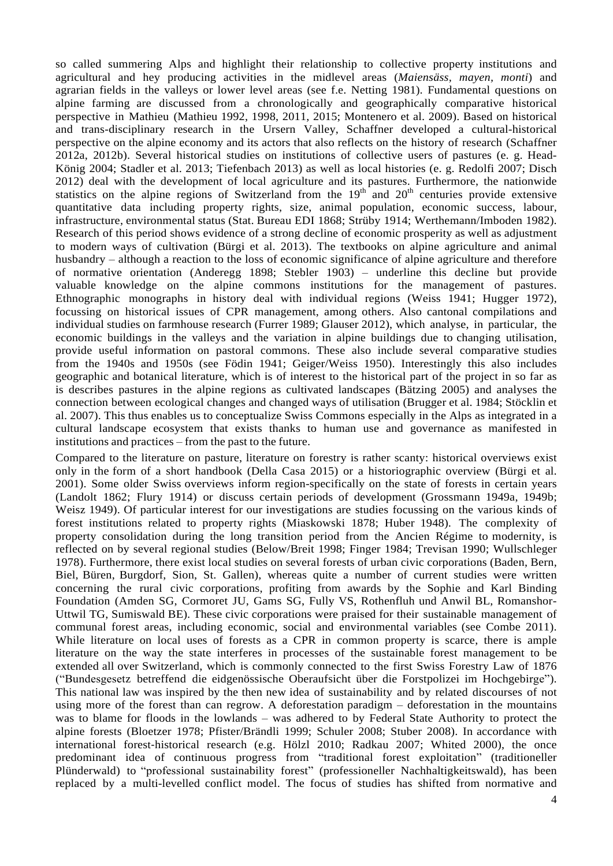so called summering Alps and highlight their relationship to collective property institutions and agricultural and hey producing activities in the midlevel areas (*Maiensäss, mayen, monti*) and agrarian fields in the valleys or lower level areas (see f.e. Netting 1981). Fundamental questions on alpine farming are discussed from a chronologically and geographically comparative historical perspective in Mathieu (Mathieu 1992, 1998, 2011, 2015; Montenero et al. 2009). Based on historical and trans-disciplinary research in the Ursern Valley, Schaffner developed a cultural-historical perspective on the alpine economy and its actors that also reflects on the history of research (Schaffner 2012a, 2012b). Several historical studies on institutions of collective users of pastures (e. g. Head-König 2004; Stadler et al. 2013; Tiefenbach 2013) as well as local histories (e. g. Redolfi 2007; Disch 2012) deal with the development of local agriculture and its pastures. Furthermore, the nationwide statistics on the alpine regions of Switzerland from the  $19<sup>th</sup>$  and  $20<sup>th</sup>$  centuries provide extensive quantitative data including property rights, size, animal population, economic success, labour, infrastructure, environmental status (Stat. Bureau EDI 1868; Strüby 1914; Werthemann/Imboden 1982). Research of this period shows evidence of a strong decline of economic prosperity as well as adjustment to modern ways of cultivation (Bürgi et al. 2013). The textbooks on alpine agriculture and animal husbandry – although a reaction to the loss of economic significance of alpine agriculture and therefore of normative orientation (Anderegg 1898; Stebler 1903) – underline this decline but provide valuable knowledge on the alpine commons institutions for the management of pastures. Ethnographic monographs in history deal with individual regions (Weiss 1941; Hugger 1972), focussing on historical issues of CPR management, among others. Also cantonal compilations and individual studies on farmhouse research (Furrer 1989; Glauser 2012), which analyse, in particular, the economic buildings in the valleys and the variation in alpine buildings due to changing utilisation, provide useful information on pastoral commons. These also include several comparative studies from the 1940s and 1950s (see Födin 1941; Geiger/Weiss 1950). Interestingly this also includes geographic and botanical literature, which is of interest to the historical part of the project in so far as is describes pastures in the alpine regions as cultivated landscapes (Bätzing 2005) and analyses the connection between ecological changes and changed ways of utilisation (Brugger et al. 1984; Stöcklin et al. 2007). This thus enables us to conceptualize Swiss Commons especially in the Alps as integrated in a cultural landscape ecosystem that exists thanks to human use and governance as manifested in institutions and practices – from the past to the future.

Compared to the literature on pasture, literature on forestry is rather scanty: historical overviews exist only in the form of a short handbook (Della Casa 2015) or a historiographic overview (Bürgi et al. 2001). Some older Swiss overviews inform region-specifically on the state of forests in certain years (Landolt 1862; Flury 1914) or discuss certain periods of development (Grossmann 1949a, 1949b; Weisz 1949). Of particular interest for our investigations are studies focussing on the various kinds of forest institutions related to property rights (Miaskowski 1878; Huber 1948). The complexity of property consolidation during the long transition period from the Ancien Régime to modernity, is reflected on by several regional studies (Below/Breit 1998; Finger 1984; Trevisan 1990; Wullschleger 1978). Furthermore, there exist local studies on several forests of urban civic corporations (Baden, Bern, Biel, Büren, Burgdorf, Sion, St. Gallen), whereas quite a number of current studies were written concerning the rural civic corporations, profiting from awards by the Sophie and Karl Binding Foundation (Amden SG, Cormoret JU, Gams SG, Fully VS, Rothenfluh und Anwil BL, Romanshor-Uttwil TG, Sumiswald BE). These civic corporations were praised for their sustainable management of communal forest areas, including economic, social and environmental variables (see Combe 2011). While literature on local uses of forests as a CPR in common property is scarce, there is ample literature on the way the state interferes in processes of the sustainable forest management to be extended all over Switzerland, which is commonly connected to the first Swiss Forestry Law of 1876 ("Bundesgesetz betreffend die eidgenössische Oberaufsicht über die Forstpolizei im Hochgebirge"). This national law was inspired by the then new idea of sustainability and by related discourses of not using more of the forest than can regrow. A deforestation paradigm – deforestation in the mountains was to blame for floods in the lowlands – was adhered to by Federal State Authority to protect the alpine forests (Bloetzer 1978; Pfister/Brändli 1999; Schuler 2008; Stuber 2008). In accordance with international forest-historical research (e.g. Hölzl 2010; Radkau 2007; Whited 2000), the once predominant idea of continuous progress from "traditional forest exploitation" (traditioneller Plünderwald) to "professional sustainability forest" (professioneller Nachhaltigkeitswald), has been replaced by a multi-levelled conflict model. The focus of studies has shifted from normative and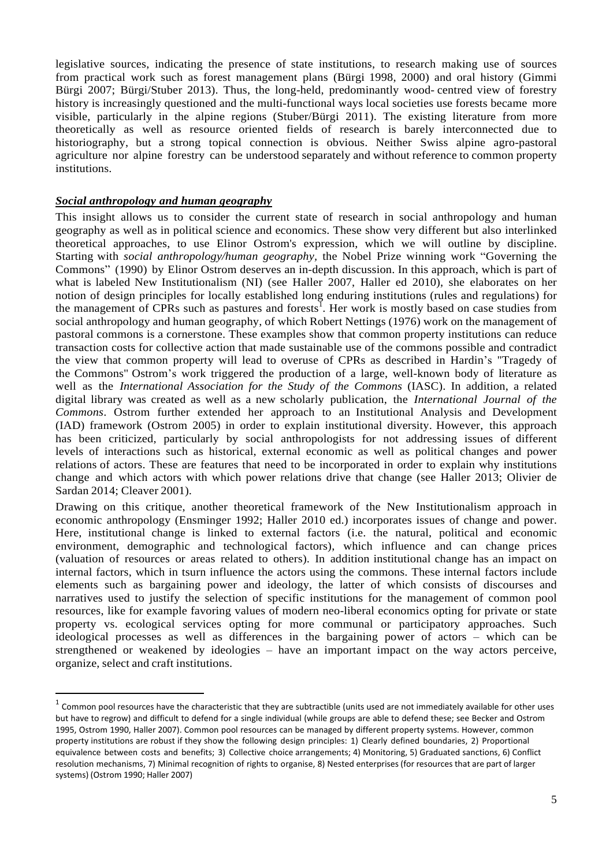legislative sources, indicating the presence of state institutions, to research making use of sources from practical work such as forest management plans (Bürgi 1998, 2000) and oral history (Gimmi Bürgi 2007; Bürgi/Stuber 2013). Thus, the long-held, predominantly wood- centred view of forestry history is increasingly questioned and the multi-functional ways local societies use forests became more visible, particularly in the alpine regions (Stuber/Bürgi 2011). The existing literature from more theoretically as well as resource oriented fields of research is barely interconnected due to historiography, but a strong topical connection is obvious. Neither Swiss alpine agro-pastoral agriculture nor alpine forestry can be understood separately and without reference to common property institutions.

#### *Social anthropology and human geography*

**.** 

This insight allows us to consider the current state of research in social anthropology and human geography as well as in political science and economics. These show very different but also interlinked theoretical approaches, to use Elinor Ostrom's expression, which we will outline by discipline. Starting with *social anthropology/human geography,* the Nobel Prize winning work "Governing the Commons" (1990) by Elinor Ostrom deserves an in-depth discussion. In this approach, which is part of what is labeled New Institutionalism (NI) (see Haller 2007, Haller ed 2010), she elaborates on her notion of design principles for locally established long enduring institutions (rules and regulations) for the management of CPRs such as pastures and forests<sup>1</sup>. Her work is mostly based on case studies from social anthropology and human geography, of which Robert Nettings (1976) work on the management of pastoral commons is a cornerstone. These examples show that common property institutions can reduce transaction costs for collective action that made sustainable use of the commons possible and contradict the view that common property will lead to overuse of CPRs as described in Hardin's "Tragedy of the Commons" Ostrom's work triggered the production of a large, well-known body of literature as well as the *International Association for the Study of the Commons* (IASC). In addition, a related digital library was created as well as a new scholarly publication, the *International Journal of the Commons*. Ostrom further extended her approach to an Institutional Analysis and Development (IAD) framework (Ostrom 2005) in order to explain institutional diversity. However, this approach has been criticized, particularly by social anthropologists for not addressing issues of different levels of interactions such as historical, external economic as well as political changes and power relations of actors. These are features that need to be incorporated in order to explain why institutions change and which actors with which power relations drive that change (see Haller 2013; Olivier de Sardan 2014; Cleaver 2001).

Drawing on this critique, another theoretical framework of the New Institutionalism approach in economic anthropology (Ensminger 1992; Haller 2010 ed.) incorporates issues of change and power. Here, institutional change is linked to external factors (i.e. the natural, political and economic environment, demographic and technological factors), which influence and can change prices (valuation of resources or areas related to others). In addition institutional change has an impact on internal factors, which in tsurn influence the actors using the commons. These internal factors include elements such as bargaining power and ideology, the latter of which consists of discourses and narratives used to justify the selection of specific institutions for the management of common pool resources, like for example favoring values of modern neo-liberal economics opting for private or state property vs. ecological services opting for more communal or participatory approaches. Such ideological processes as well as differences in the bargaining power of actors – which can be strengthened or weakened by ideologies – have an important impact on the way actors perceive, organize, select and craft institutions.

 $^1$  Common pool resources have the characteristic that they are subtractible (units used are not immediately available for other uses but have to regrow) and difficult to defend for a single individual (while groups are able to defend these; see Becker and Ostrom 1995, Ostrom 1990, Haller 2007). Common pool resources can be managed by different property systems. However, common property institutions are robust if they show the following design principles: 1) Clearly defined boundaries, 2) Proportional equivalence between costs and benefits; 3) Collective choice arrangements; 4) Monitoring, 5) Graduated sanctions, 6) Conflict resolution mechanisms, 7) Minimal recognition of rights to organise, 8) Nested enterprises (for resources that are part of larger systems) (Ostrom 1990; Haller 2007)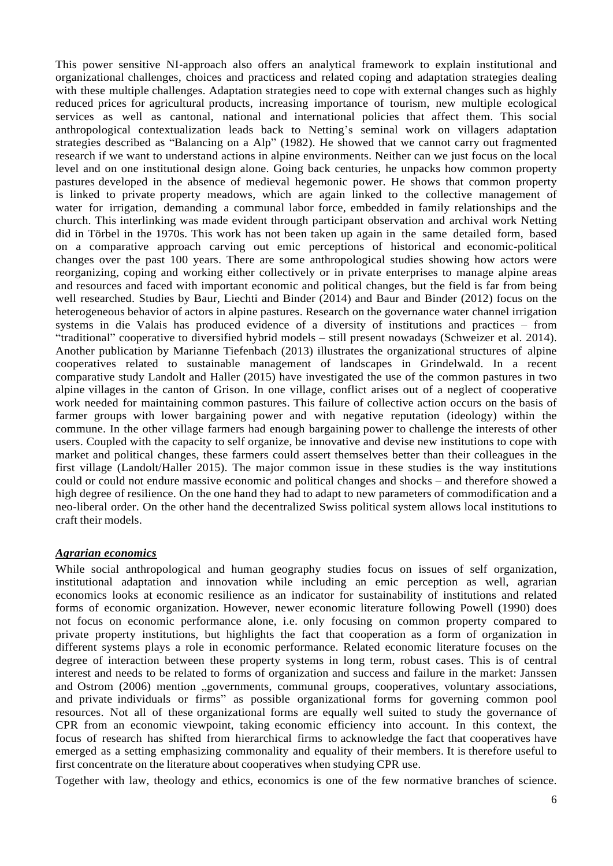This power sensitive NI‐approach also offers an analytical framework to explain institutional and organizational challenges, choices and practicess and related coping and adaptation strategies dealing with these multiple challenges. Adaptation strategies need to cope with external changes such as highly reduced prices for agricultural products, increasing importance of tourism, new multiple ecological services as well as cantonal, national and international policies that affect them. This social anthropological contextualization leads back to Netting's seminal work on villagers adaptation strategies described as "Balancing on a Alp" (1982). He showed that we cannot carry out fragmented research if we want to understand actions in alpine environments. Neither can we just focus on the local level and on one institutional design alone. Going back centuries, he unpacks how common property pastures developed in the absence of medieval hegemonic power. He shows that common property is linked to private property meadows, which are again linked to the collective management of water for irrigation, demanding a communal labor force, embedded in family relationships and the church. This interlinking was made evident through participant observation and archival work Netting did in Törbel in the 1970s. This work has not been taken up again in the same detailed form, based on a comparative approach carving out emic perceptions of historical and economic-political changes over the past 100 years. There are some anthropological studies showing how actors were reorganizing, coping and working either collectively or in private enterprises to manage alpine areas and resources and faced with important economic and political changes, but the field is far from being well researched. Studies by Baur, Liechti and Binder (2014) and Baur and Binder (2012) focus on the heterogeneous behavior of actors in alpine pastures. Research on the governance water channel irrigation systems in die Valais has produced evidence of a diversity of institutions and practices – from "traditional" cooperative to diversified hybrid models – still present nowadays (Schweizer et al. 2014). Another publication by Marianne Tiefenbach (2013) illustrates the organizational structures of alpine cooperatives related to sustainable management of landscapes in Grindelwald. In a recent comparative study Landolt and Haller (2015) have investigated the use of the common pastures in two alpine villages in the canton of Grison. In one village, conflict arises out of a neglect of cooperative work needed for maintaining common pastures. This failure of collective action occurs on the basis of farmer groups with lower bargaining power and with negative reputation (ideology) within the commune. In the other village farmers had enough bargaining power to challenge the interests of other users. Coupled with the capacity to self organize, be innovative and devise new institutions to cope with market and political changes, these farmers could assert themselves better than their colleagues in the first village (Landolt/Haller 2015). The major common issue in these studies is the way institutions could or could not endure massive economic and political changes and shocks – and therefore showed a high degree of resilience. On the one hand they had to adapt to new parameters of commodification and a neo-liberal order. On the other hand the decentralized Swiss political system allows local institutions to craft their models.

#### *Agrarian economics*

While social anthropological and human geography studies focus on issues of self organization, institutional adaptation and innovation while including an emic perception as well, agrarian economics looks at economic resilience as an indicator for sustainability of institutions and related forms of economic organization. However, newer economic literature following Powell (1990) does not focus on economic performance alone, i.e. only focusing on common property compared to private property institutions, but highlights the fact that cooperation as a form of organization in different systems plays a role in economic performance. Related economic literature focuses on the degree of interaction between these property systems in long term, robust cases. This is of central interest and needs to be related to forms of organization and success and failure in the market: Janssen and Ostrom (2006) mention "governments, communal groups, cooperatives, voluntary associations, and private individuals or firms" as possible organizational forms for governing common pool resources. Not all of these organizational forms are equally well suited to study the governance of CPR from an economic viewpoint, taking economic efficiency into account. In this context, the focus of research has shifted from hierarchical firms to acknowledge the fact that cooperatives have emerged as a setting emphasizing commonality and equality of their members. It is therefore useful to first concentrate on the literature about cooperatives when studying CPR use.

Together with law, theology and ethics, economics is one of the few normative branches of science.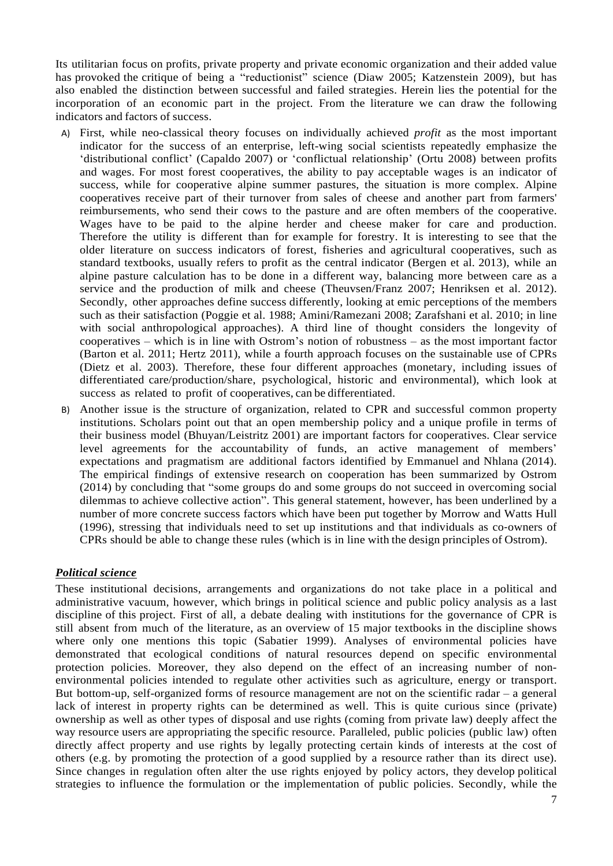Its utilitarian focus on profits, private property and private economic organization and their added value has provoked the critique of being a "reductionist" science (Diaw 2005; Katzenstein 2009), but has also enabled the distinction between successful and failed strategies. Herein lies the potential for the incorporation of an economic part in the project. From the literature we can draw the following indicators and factors of success.

- A) First, while neo-classical theory focuses on individually achieved *profit* as the most important indicator for the success of an enterprise, left-wing social scientists repeatedly emphasize the 'distributional conflict' (Capaldo 2007) or 'conflictual relationship' (Ortu 2008) between profits and wages. For most forest cooperatives, the ability to pay acceptable wages is an indicator of success, while for cooperative alpine summer pastures, the situation is more complex. Alpine cooperatives receive part of their turnover from sales of cheese and another part from farmers' reimbursements, who send their cows to the pasture and are often members of the cooperative. Wages have to be paid to the alpine herder and cheese maker for care and production. Therefore the utility is different than for example for forestry. It is interesting to see that the older literature on success indicators of forest, fisheries and agricultural cooperatives, such as standard textbooks, usually refers to profit as the central indicator (Bergen et al. 2013), while an alpine pasture calculation has to be done in a different way, balancing more between care as a service and the production of milk and cheese (Theuvsen/Franz 2007; Henriksen et al. 2012). Secondly, other approaches define success differently, looking at emic perceptions of the members such as their satisfaction (Poggie et al. 1988; Amini/Ramezani 2008; Zarafshani et al. 2010; in line with social anthropological approaches). A third line of thought considers the longevity of cooperatives – which is in line with Ostrom's notion of robustness – as the most important factor (Barton et al. 2011; Hertz 2011), while a fourth approach focuses on the sustainable use of CPRs (Dietz et al. 2003). Therefore, these four different approaches (monetary, including issues of differentiated care/production/share, psychological, historic and environmental), which look at success as related to profit of cooperatives, can be differentiated.
- B) Another issue is the structure of organization, related to CPR and successful common property institutions. Scholars point out that an open membership policy and a unique profile in terms of their business model (Bhuyan/Leistritz 2001) are important factors for cooperatives. Clear service level agreements for the accountability of funds, an active management of members' expectations and pragmatism are additional factors identified by Emmanuel and Nhlana (2014). The empirical findings of extensive research on cooperation has been summarized by Ostrom (2014) by concluding that "some groups do and some groups do not succeed in overcoming social dilemmas to achieve collective action". This general statement, however, has been underlined by a number of more concrete success factors which have been put together by Morrow and Watts Hull (1996), stressing that individuals need to set up institutions and that individuals as co‐owners of CPRs should be able to change these rules (which is in line with the design principles of Ostrom).

#### *Political science*

These institutional decisions, arrangements and organizations do not take place in a political and administrative vacuum, however, which brings in political science and public policy analysis as a last discipline of this project. First of all, a debate dealing with institutions for the governance of CPR is still absent from much of the literature, as an overview of 15 major textbooks in the discipline shows where only one mentions this topic (Sabatier 1999). Analyses of environmental policies have demonstrated that ecological conditions of natural resources depend on specific environmental protection policies. Moreover, they also depend on the effect of an increasing number of nonenvironmental policies intended to regulate other activities such as agriculture, energy or transport. But bottom-up, self-organized forms of resource management are not on the scientific radar – a general lack of interest in property rights can be determined as well. This is quite curious since (private) ownership as well as other types of disposal and use rights (coming from private law) deeply affect the way resource users are appropriating the specific resource. Paralleled, public policies (public law) often directly affect property and use rights by legally protecting certain kinds of interests at the cost of others (e.g. by promoting the protection of a good supplied by a resource rather than its direct use). Since changes in regulation often alter the use rights enjoyed by policy actors, they develop political strategies to influence the formulation or the implementation of public policies. Secondly, while the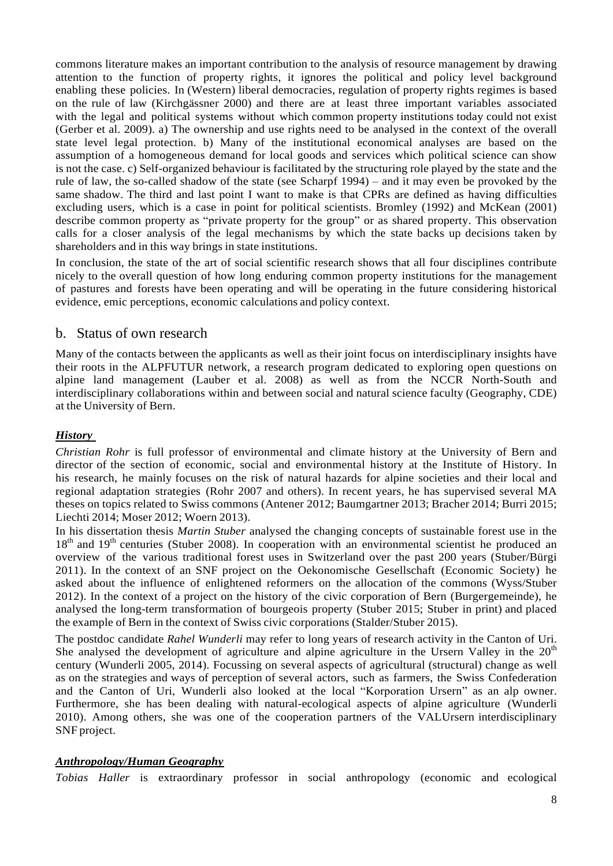commons literature makes an important contribution to the analysis of resource management by drawing attention to the function of property rights, it ignores the political and policy level background enabling these policies. In (Western) liberal democracies, regulation of property rights regimes is based on the rule of law (Kirchgässner 2000) and there are at least three important variables associated with the legal and political systems without which common property institutions today could not exist (Gerber et al. 2009). a) The ownership and use rights need to be analysed in the context of the overall state level legal protection. b) Many of the institutional economical analyses are based on the assumption of a homogeneous demand for local goods and services which political science can show is not the case. c) Self-organized behaviour is facilitated by the structuring role played by the state and the rule of law, the so-called shadow of the state (see Scharpf 1994) – and it may even be provoked by the same shadow. The third and last point I want to make is that CPRs are defined as having difficulties excluding users, which is a case in point for political scientists. Bromley (1992) and McKean (2001) describe common property as "private property for the group" or as shared property. This observation calls for a closer analysis of the legal mechanisms by which the state backs up decisions taken by shareholders and in this way brings in state institutions.

In conclusion, the state of the art of social scientific research shows that all four disciplines contribute nicely to the overall question of how long enduring common property institutions for the management of pastures and forests have been operating and will be operating in the future considering historical evidence, emic perceptions, economic calculations and policy context.

### <span id="page-7-0"></span>b. Status of own research

Many of the contacts between the applicants as well as their joint focus on interdisciplinary insights have their roots in the ALPFUTUR network, a research program dedicated to exploring open questions on alpine land management (Lauber et al. 2008) as well as from the NCCR North-South and interdisciplinary collaborations within and between social and natural science faculty (Geography, CDE) at the University of Bern.

### *History*

*Christian Rohr* is full professor of environmental and climate history at the University of Bern and director of the section of economic, social and environmental history at the Institute of History. In his research, he mainly focuses on the risk of natural hazards for alpine societies and their local and regional adaptation strategies (Rohr 2007 and others). In recent years, he has supervised several MA theses on topics related to Swiss commons (Antener 2012; Baumgartner 2013; Bracher 2014; Burri 2015; Liechti 2014; Moser 2012; Woern 2013).

In his dissertation thesis *Martin Stuber* analysed the changing concepts of sustainable forest use in the 18<sup>th</sup> and 19<sup>th</sup> centuries (Stuber 2008). In cooperation with an environmental scientist he produced an overview of the various traditional forest uses in Switzerland over the past 200 years (Stuber/Bürgi 2011). In the context of an SNF project on the Oekonomische Gesellschaft (Economic Society) he asked about the influence of enlightened reformers on the allocation of the commons (Wyss/Stuber 2012). In the context of a project on the history of the civic corporation of Bern (Burgergemeinde), he analysed the long-term transformation of bourgeois property (Stuber 2015; Stuber in print) and placed the example of Bern in the context of Swiss civic corporations (Stalder/Stuber 2015).

The postdoc candidate *Rahel Wunderli* may refer to long years of research activity in the Canton of Uri. She analysed the development of agriculture and alpine agriculture in the Ursern Valley in the  $20<sup>th</sup>$ century (Wunderli 2005, 2014). Focussing on several aspects of agricultural (structural) change as well as on the strategies and ways of perception of several actors, such as farmers, the Swiss Confederation and the Canton of Uri, Wunderli also looked at the local "Korporation Ursern" as an alp owner. Furthermore, she has been dealing with natural-ecological aspects of alpine agriculture (Wunderli 2010). Among others, she was one of the cooperation partners of the VALUrsern interdisciplinary SNF project.

#### *Anthropology/Human Geography*

*Tobias Haller* is extraordinary professor in social anthropology (economic and ecological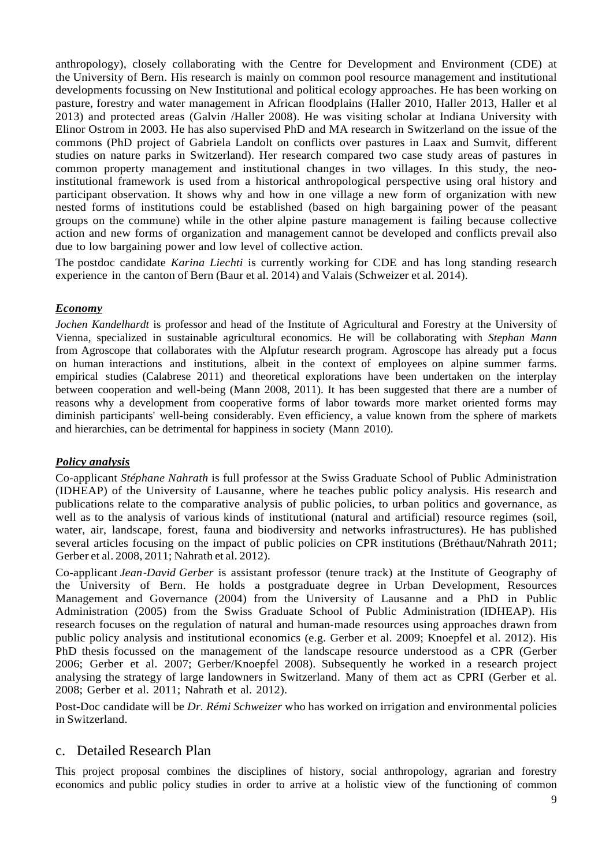anthropology), closely collaborating with the Centre for Development and Environment (CDE) at the University of Bern. His research is mainly on common pool resource management and institutional developments focussing on New Institutional and political ecology approaches. He has been working on pasture, forestry and water management in African floodplains (Haller 2010, Haller 2013, Haller et al 2013) and protected areas (Galvin /Haller 2008). He was visiting scholar at Indiana University with Elinor Ostrom in 2003. He has also supervised PhD and MA research in Switzerland on the issue of the commons (PhD project of Gabriela Landolt on conflicts over pastures in Laax and Sumvit, different studies on nature parks in Switzerland). Her research compared two case study areas of pastures in common property management and institutional changes in two villages. In this study, the neoinstitutional framework is used from a historical anthropological perspective using oral history and participant observation. It shows why and how in one village a new form of organization with new nested forms of institutions could be established (based on high bargaining power of the peasant groups on the commune) while in the other alpine pasture management is failing because collective action and new forms of organization and management cannot be developed and conflicts prevail also due to low bargaining power and low level of collective action.

The postdoc candidate *Karina Liechti* is currently working for CDE and has long standing research experience in the canton of Bern (Baur et al. 2014) and Valais (Schweizer et al. 2014).

#### *Economy*

*Jochen Kandelhardt* is professor and head of the Institute of Agricultural and Forestry at the University of Vienna, specialized in sustainable agricultural economics. He will be collaborating with *Stephan Mann* from Agroscope that collaborates with the Alpfutur research program. Agroscope has already put a focus on human interactions and institutions, albeit in the context of employees on alpine summer farms. empirical studies (Calabrese 2011) and theoretical explorations have been undertaken on the interplay between cooperation and well-being (Mann 2008, 2011). It has been suggested that there are a number of reasons why a development from cooperative forms of labor towards more market oriented forms may diminish participants' well-being considerably. Even efficiency, a value known from the sphere of markets and hierarchies, can be detrimental for happiness in society (Mann 2010).

#### *Policy analysis*

Co-applicant *Stéphane Nahrath* is full professor at the Swiss Graduate School of Public Administration (IDHEAP) of the University of Lausanne, where he teaches public policy analysis. His research and publications relate to the comparative analysis of public policies, to urban politics and governance, as well as to the analysis of various kinds of institutional (natural and artificial) resource regimes (soil, water, air, landscape, forest, fauna and biodiversity and networks infrastructures). He has published several articles focusing on the impact of public policies on CPR institutions (Bréthaut/Nahrath 2011; Gerber et al. 2008, 2011; Nahrath et al. 2012).

Co-applicant *Jean*‐*David Gerber* is assistant professor (tenure track) at the Institute of Geography of the University of Bern. He holds a postgraduate degree in Urban Development, Resources Management and Governance (2004) from the University of Lausanne and a PhD in Public Administration (2005) from the Swiss Graduate School of Public Administration (IDHEAP). His research focuses on the regulation of natural and human-made resources using approaches drawn from public policy analysis and institutional economics (e.g. Gerber et al. 2009; Knoepfel et al. 2012). His PhD thesis focussed on the management of the landscape resource understood as a CPR (Gerber 2006; Gerber et al. 2007; Gerber/Knoepfel 2008). Subsequently he worked in a research project analysing the strategy of large landowners in Switzerland. Many of them act as CPRI (Gerber et al. 2008; Gerber et al. 2011; Nahrath et al. 2012).

Post-Doc candidate will be *Dr. Rémi Schweizer* who has worked on irrigation and environmental policies in Switzerland.

#### <span id="page-8-0"></span>c. Detailed Research Plan

This project proposal combines the disciplines of history, social anthropology, agrarian and forestry economics and public policy studies in order to arrive at a holistic view of the functioning of common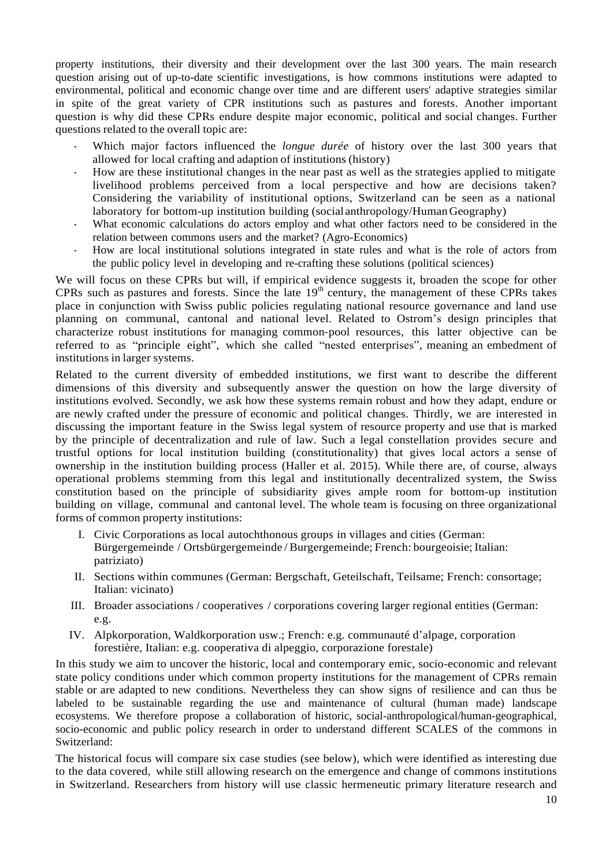property institutions, their diversity and their development over the last 300 years. The main research question arising out of up-to-date scientific investigations, is how commons institutions were adapted to environmental, political and economic change over time and are different users' adaptive strategies similar in spite of the great variety of CPR institutions such as pastures and forests. Another important question is why did these CPRs endure despite major economic, political and social changes. Further questions related to the overall topic are:

- **-** Which major factors influenced the *longue durée* of history over the last 300 years that allowed for local crafting and adaption of institutions (history)
- **-** How are these institutional changes in the near past as well as the strategies applied to mitigate livelihood problems perceived from a local perspective and how are decisions taken? Considering the variability of institutional options, Switzerland can be seen as a national laboratory for bottom-up institution building (social anthropology/HumanGeography)
- What economic calculations do actors employ and what other factors need to be considered in the relation between commons users and the market? (Agro-Economics)
- **-** How are local institutional solutions integrated in state rules and what is the role of actors from the public policy level in developing and re-crafting these solutions (political sciences)

We will focus on these CPRs but will, if empirical evidence suggests it, broaden the scope for other CPRs such as pastures and forests. Since the late  $19<sup>th</sup>$  century, the management of these CPRs takes place in conjunction with Swiss public policies regulating national resource governance and land use planning on communal, cantonal and national level. Related to Ostrom's design principles that characterize robust institutions for managing common‐pool resources, this latter objective can be referred to as "principle eight", which she called "nested enterprises", meaning an embedment of institutions in larger systems.

Related to the current diversity of embedded institutions, we first want to describe the different dimensions of this diversity and subsequently answer the question on how the large diversity of institutions evolved. Secondly, we ask how these systems remain robust and how they adapt, endure or are newly crafted under the pressure of economic and political changes. Thirdly, we are interested in discussing the important feature in the Swiss legal system of resource property and use that is marked by the principle of decentralization and rule of law. Such a legal constellation provides secure and trustful options for local institution building (constitutionality) that gives local actors a sense of ownership in the institution building process (Haller et al. 2015). While there are, of course, always operational problems stemming from this legal and institutionally decentralized system, the Swiss constitution based on the principle of subsidiarity gives ample room for bottom-up institution building on village, communal and cantonal level. The whole team is focusing on three organizational forms of common property institutions:

- I. Civic Corporations as local autochthonous groups in villages and cities (German: Bürgergemeinde / Ortsbürgergemeinde / Burgergemeinde; French: bourgeoisie; Italian: patriziato)
- II. Sections within communes (German: Bergschaft, Geteilschaft, Teilsame; French: consortage; Italian: vicinato)
- III. Broader associations / cooperatives / corporations covering larger regional entities (German: e.g.
- IV. Alpkorporation, Waldkorporation usw.; French: e.g. communauté d'alpage, corporation forestière, Italian: e.g. cooperativa di alpeggio, corporazione forestale)

In this study we aim to uncover the historic, local and contemporary emic, socio-economic and relevant state policy conditions under which common property institutions for the management of CPRs remain stable or are adapted to new conditions. Nevertheless they can show signs of resilience and can thus be labeled to be sustainable regarding the use and maintenance of cultural (human made) landscape ecosystems. We therefore propose a collaboration of historic, social-anthropological/human-geographical, socio-economic and public policy research in order to understand different SCALES of the commons in Switzerland:

The historical focus will compare six case studies (see below), which were identified as interesting due to the data covered, while still allowing research on the emergence and change of commons institutions in Switzerland. Researchers from history will use classic hermeneutic primary literature research and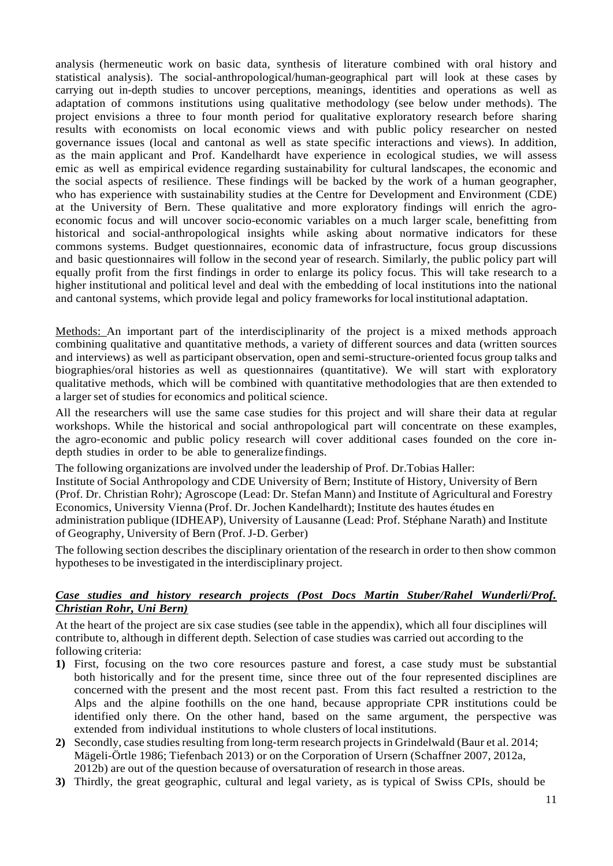analysis (hermeneutic work on basic data, synthesis of literature combined with oral history and statistical analysis). The social-anthropological/human-geographical part will look at these cases by carrying out in-depth studies to uncover perceptions, meanings, identities and operations as well as adaptation of commons institutions using qualitative methodology (see below under methods). The project envisions a three to four month period for qualitative exploratory research before sharing results with economists on local economic views and with public policy researcher on nested governance issues (local and cantonal as well as state specific interactions and views). In addition, as the main applicant and Prof. Kandelhardt have experience in ecological studies, we will assess emic as well as empirical evidence regarding sustainability for cultural landscapes, the economic and the social aspects of resilience. These findings will be backed by the work of a human geographer, who has experience with sustainability studies at the Centre for Development and Environment (CDE) at the University of Bern. These qualitative and more exploratory findings will enrich the agroeconomic focus and will uncover socio-economic variables on a much larger scale, benefitting from historical and social-anthropological insights while asking about normative indicators for these commons systems. Budget questionnaires, economic data of infrastructure, focus group discussions and basic questionnaires will follow in the second year of research. Similarly, the public policy part will equally profit from the first findings in order to enlarge its policy focus. This will take research to a higher institutional and political level and deal with the embedding of local institutions into the national and cantonal systems, which provide legal and policy frameworksfor local institutional adaptation.

Methods: An important part of the interdisciplinarity of the project is a mixed methods approach combining qualitative and quantitative methods, a variety of different sources and data (written sources and interviews) as well as participant observation, open and semi-structure-oriented focus group talks and biographies/oral histories as well as questionnaires (quantitative). We will start with exploratory qualitative methods, which will be combined with quantitative methodologies that are then extended to a larger set of studies for economics and political science.

All the researchers will use the same case studies for this project and will share their data at regular workshops. While the historical and social anthropological part will concentrate on these examples, the agro‐economic and public policy research will cover additional cases founded on the core indepth studies in order to be able to generalize findings.

The following organizations are involved under the leadership of Prof. Dr.Tobias Haller: Institute of Social Anthropology and CDE University of Bern; Institute of History, University of Bern (Prof. Dr. Christian Rohr)*;* Agroscope (Lead: Dr. Stefan Mann) and Institute of Agricultural and Forestry Economics, University Vienna (Prof. Dr. Jochen Kandelhardt); Institute des hautes études en administration publique (IDHEAP), University of Lausanne (Lead: Prof. Stéphane Narath) and Institute of Geography, University of Bern (Prof. J-D. Gerber)

The following section describes the disciplinary orientation of the research in order to then show common hypotheses to be investigated in the interdisciplinary project.

#### *Case studies and history research projects (Post Docs Martin Stuber/Rahel Wunderli/Prof. Christian Rohr, Uni Bern)*

At the heart of the project are six case studies (see table in the appendix), which all four disciplines will contribute to, although in different depth. Selection of case studies was carried out according to the following criteria:

- **1)** First, focusing on the two core resources pasture and forest, a case study must be substantial both historically and for the present time, since three out of the four represented disciplines are concerned with the present and the most recent past. From this fact resulted a restriction to the Alps and the alpine foothills on the one hand, because appropriate CPR institutions could be identified only there. On the other hand, based on the same argument, the perspective was extended from individual institutions to whole clusters of local institutions.
- 2) Secondly, case studies resulting from long-term research projects in Grindelwald (Baur et al. 2014; Mägeli-Örtle 1986; Tiefenbach 2013) or on the Corporation of Ursern (Schaffner 2007, 2012a, 2012b) are out of the question because of oversaturation of research in those areas.
- **3)** Thirdly, the great geographic, cultural and legal variety, as is typical of Swiss CPIs, should be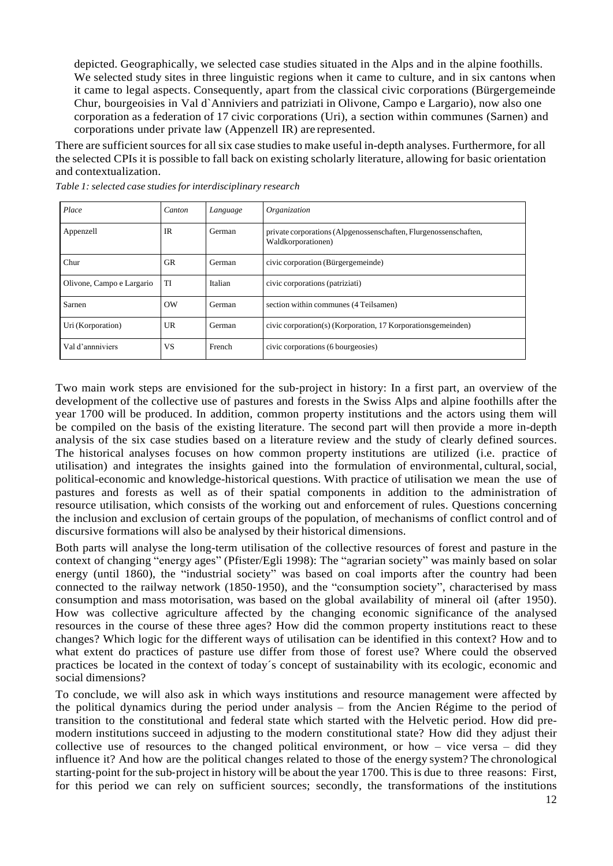depicted. Geographically, we selected case studies situated in the Alps and in the alpine foothills. We selected study sites in three linguistic regions when it came to culture, and in six cantons when it came to legal aspects. Consequently, apart from the classical civic corporations (Bürgergemeinde Chur, bourgeoisies in Val d`Anniviers and patriziati in Olivone, Campo e Largario), now also one corporation as a federation of 17 civic corporations (Uri), a section within communes (Sarnen) and corporations under private law (Appenzell IR) are represented.

There are sufficient sources for all six case studies to make useful in-depth analyses. Furthermore, for all the selected CPIs it is possible to fall back on existing scholarly literature, allowing for basic orientation and contextualization.

| Place                     | Canton    | Language | Organization                                                                           |  |
|---------------------------|-----------|----------|----------------------------------------------------------------------------------------|--|
| Appenzell                 | <b>IR</b> | German   | private corporations (Alpgenossenschaften, Flurgenossenschaften,<br>Waldkorporationen) |  |
| Chur                      | <b>GR</b> | German   | civic corporation (Bürgergemeinde)                                                     |  |
| Olivone, Campo e Largario | TI        | Italian  | civic corporations (patriziati)                                                        |  |
| Sarnen                    | <b>OW</b> | German   | section within communes (4 Teilsamen)                                                  |  |
| Uri (Korporation)         | UR        | German   | civic corporation(s) (Korporation, 17 Korporations gemeinden)                          |  |
| Val d'annniviers          | VS        | French   | civic corporations (6 bourgeosies)                                                     |  |

*Table 1: selected case studies for interdisciplinary research*

Two main work steps are envisioned for the sub‐project in history: In a first part, an overview of the development of the collective use of pastures and forests in the Swiss Alps and alpine foothills after the year 1700 will be produced. In addition, common property institutions and the actors using them will be compiled on the basis of the existing literature. The second part will then provide a more in-depth analysis of the six case studies based on a literature review and the study of clearly defined sources. The historical analyses focuses on how common property institutions are utilized (i.e. practice of utilisation) and integrates the insights gained into the formulation of environmental, cultural,social, political-economic and knowledge-historical questions. With practice of utilisation we mean the use of pastures and forests as well as of their spatial components in addition to the administration of resource utilisation, which consists of the working out and enforcement of rules. Questions concerning the inclusion and exclusion of certain groups of the population, of mechanisms of conflict control and of discursive formations will also be analysed by their historical dimensions.

Both parts will analyse the long-term utilisation of the collective resources of forest and pasture in the context of changing "energy ages" (Pfister/Egli 1998): The "agrarian society" was mainly based on solar energy (until 1860), the "industrial society" was based on coal imports after the country had been connected to the railway network (1850‐1950), and the "consumption society", characterised by mass consumption and mass motorisation, was based on the global availability of mineral oil (after 1950). How was collective agriculture affected by the changing economic significance of the analysed resources in the course of these three ages? How did the common property institutions react to these changes? Which logic for the different ways of utilisation can be identified in this context? How and to what extent do practices of pasture use differ from those of forest use? Where could the observed practices be located in the context of today´s concept of sustainability with its ecologic, economic and social dimensions?

To conclude, we will also ask in which ways institutions and resource management were affected by the political dynamics during the period under analysis – from the Ancien Régime to the period of transition to the constitutional and federal state which started with the Helvetic period. How did premodern institutions succeed in adjusting to the modern constitutional state? How did they adjust their collective use of resources to the changed political environment, or how – vice versa – did they influence it? And how are the political changes related to those of the energy system? The chronological starting‐point for the sub‐project in history will be about the year 1700. Thisis due to three reasons: First, for this period we can rely on sufficient sources; secondly, the transformations of the institutions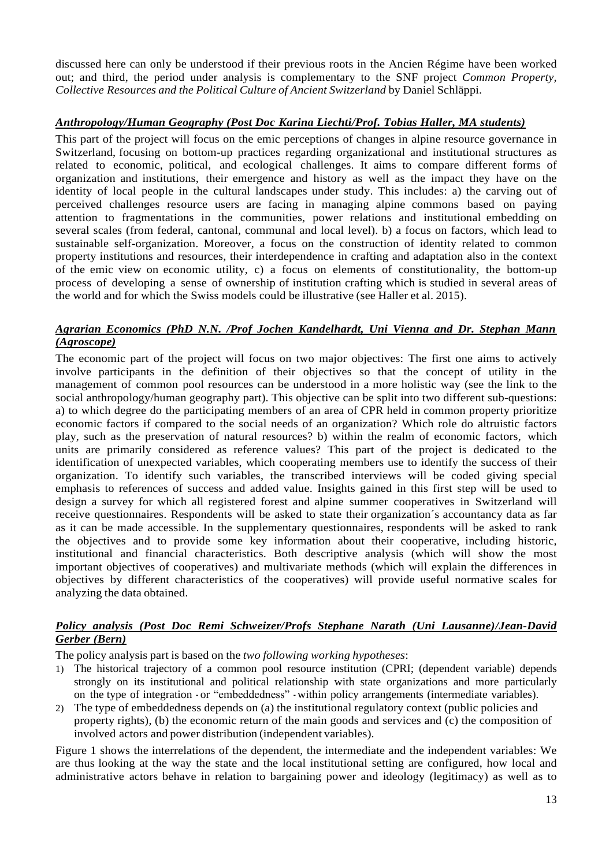discussed here can only be understood if their previous roots in the Ancien Régime have been worked out; and third, the period under analysis is complementary to the SNF project *Common Property, Collective Resources and the Political Culture of Ancient Switzerland* by Daniel Schläppi.

### *Anthropology/Human Geography (Post Doc Karina Liechti/Prof. Tobias Haller, MA students)*

This part of the project will focus on the emic perceptions of changes in alpine resource governance in Switzerland, focusing on bottom-up practices regarding organizational and institutional structures as related to economic, political, and ecological challenges. It aims to compare different forms of organization and institutions, their emergence and history as well as the impact they have on the identity of local people in the cultural landscapes under study. This includes: a) the carving out of perceived challenges resource users are facing in managing alpine commons based on paying attention to fragmentations in the communities, power relations and institutional embedding on several scales (from federal, cantonal, communal and local level). b) a focus on factors, which lead to sustainable self-organization. Moreover, a focus on the construction of identity related to common property institutions and resources, their interdependence in crafting and adaptation also in the context of the emic view on economic utility, c) a focus on elements of constitutionality, the bottom‐up process of developing a sense of ownership of institution crafting which is studied in several areas of the world and for which the Swiss models could be illustrative (see Haller et al. 2015).

#### *Agrarian Economics (PhD N.N. /Prof Jochen Kandelhardt, Uni Vienna and Dr. Stephan Mann (Agroscope)*

The economic part of the project will focus on two major objectives: The first one aims to actively involve participants in the definition of their objectives so that the concept of utility in the management of common pool resources can be understood in a more holistic way (see the link to the social anthropology/human geography part). This objective can be split into two different sub-questions: a) to which degree do the participating members of an area of CPR held in common property prioritize economic factors if compared to the social needs of an organization? Which role do altruistic factors play, such as the preservation of natural resources? b) within the realm of economic factors, which units are primarily considered as reference values? This part of the project is dedicated to the identification of unexpected variables, which cooperating members use to identify the success of their organization. To identify such variables, the transcribed interviews will be coded giving special emphasis to references of success and added value. Insights gained in this first step will be used to design a survey for which all registered forest and alpine summer cooperatives in Switzerland will receive questionnaires. Respondents will be asked to state their organization´s accountancy data as far as it can be made accessible. In the supplementary questionnaires, respondents will be asked to rank the objectives and to provide some key information about their cooperative, including historic, institutional and financial characteristics. Both descriptive analysis (which will show the most important objectives of cooperatives) and multivariate methods (which will explain the differences in objectives by different characteristics of the cooperatives) will provide useful normative scales for analyzing the data obtained.

#### *Policy analysis (Post Doc Remi Schweizer/Profs Stephane Narath (Uni Lausanne)/Jean-David Gerber (Bern)*

The policy analysis part is based on the *two following working hypotheses*:

- 1) The historical trajectory of a common pool resource institution (CPRI; (dependent variable) depends strongly on its institutional and political relationship with state organizations and more particularly on the type of integration - or "embeddedness" - within policy arrangements (intermediate variables).
- 2) The type of embeddedness depends on (a) the institutional regulatory context (public policies and property rights), (b) the economic return of the main goods and services and (c) the composition of involved actors and power distribution (independent variables).

Figure 1 shows the interrelations of the dependent, the intermediate and the independent variables: We are thus looking at the way the state and the local institutional setting are configured, how local and administrative actors behave in relation to bargaining power and ideology (legitimacy) as well as to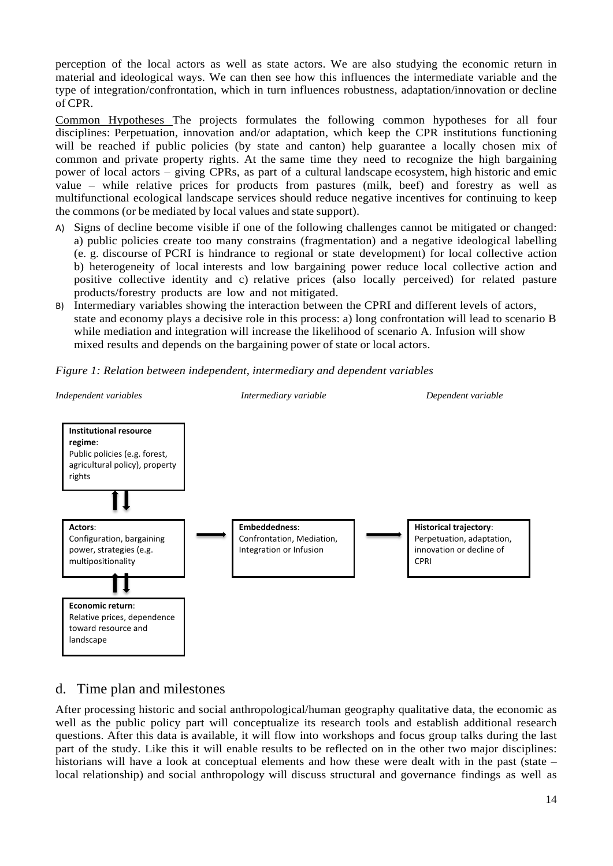perception of the local actors as well as state actors. We are also studying the economic return in material and ideological ways. We can then see how this influences the intermediate variable and the type of integration/confrontation, which in turn influences robustness, adaptation/innovation or decline of CPR.

Common Hypotheses The projects formulates the following common hypotheses for all four disciplines: Perpetuation, innovation and/or adaptation, which keep the CPR institutions functioning will be reached if public policies (by state and canton) help guarantee a locally chosen mix of common and private property rights. At the same time they need to recognize the high bargaining power of local actors – giving CPRs, as part of a cultural landscape ecosystem, high historic and emic value – while relative prices for products from pastures (milk, beef) and forestry as well as multifunctional ecological landscape services should reduce negative incentives for continuing to keep the commons (or be mediated by local values and state support).

- A) Signs of decline become visible if one of the following challenges cannot be mitigated or changed: a) public policies create too many constrains (fragmentation) and a negative ideological labelling (e. g. discourse of PCRI is hindrance to regional or state development) for local collective action b) heterogeneity of local interests and low bargaining power reduce local collective action and positive collective identity and c) relative prices (also locally perceived) for related pasture products/forestry products are low and not mitigated.
- B) Intermediary variables showing the interaction between the CPRI and different levels of actors, state and economy plays a decisive role in this process: a) long confrontation will lead to scenario B while mediation and integration will increase the likelihood of scenario A. Infusion will show mixed results and depends on the bargaining power of state or local actors.



### <span id="page-13-0"></span>d. Time plan and milestones

After processing historic and social anthropological/human geography qualitative data, the economic as well as the public policy part will conceptualize its research tools and establish additional research questions. After this data is available, it will flow into workshops and focus group talks during the last part of the study. Like this it will enable results to be reflected on in the other two major disciplines: historians will have a look at conceptual elements and how these were dealt with in the past (state – local relationship) and social anthropology will discuss structural and governance findings as well as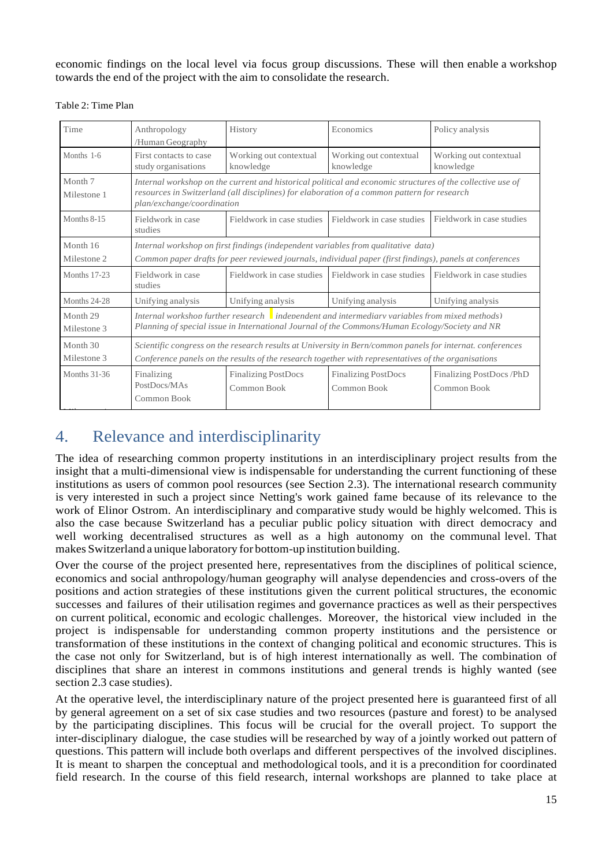economic findings on the local level via focus group discussions. These will then enable a workshop towards the end of the project with the aim to consolidate the research.

#### Table 2: Time Plan

| Time                                                                                                                                                                                                                     | Anthropology<br>/Human Geography                                                                                                                                                                                 | History                                             |  | Economics                                                                                                                                                                                                 | Policy analysis                         |  |  |
|--------------------------------------------------------------------------------------------------------------------------------------------------------------------------------------------------------------------------|------------------------------------------------------------------------------------------------------------------------------------------------------------------------------------------------------------------|-----------------------------------------------------|--|-----------------------------------------------------------------------------------------------------------------------------------------------------------------------------------------------------------|-----------------------------------------|--|--|
| Months 1-6                                                                                                                                                                                                               | First contacts to case<br>study organisations                                                                                                                                                                    | Working out contextual<br>knowledge                 |  | Working out contextual<br>knowledge                                                                                                                                                                       | Working out contextual<br>knowledge     |  |  |
| Month <sub>7</sub><br>Milestone 1                                                                                                                                                                                        | plan/exchange/coordination                                                                                                                                                                                       |                                                     |  | Internal workshop on the current and historical political and economic structures of the collective use of<br>resources in Switzerland (all disciplines) for elaboration of a common pattern for research |                                         |  |  |
| Months 8-15                                                                                                                                                                                                              | Fieldwork in case<br>studies                                                                                                                                                                                     | Fieldwork in case studies                           |  | Fieldwork in case studies                                                                                                                                                                                 | Fieldwork in case studies               |  |  |
| Month 16<br>Internal workshop on first findings (independent variables from qualitative data)<br>Common paper drafts for peer reviewed journals, individual paper (first findings), panels at conferences<br>Milestone 2 |                                                                                                                                                                                                                  |                                                     |  |                                                                                                                                                                                                           |                                         |  |  |
| <b>Months 17-23</b>                                                                                                                                                                                                      | Fieldwork in case<br>studies                                                                                                                                                                                     | Fieldwork in case studies Fieldwork in case studies |  |                                                                                                                                                                                                           | Fieldwork in case studies               |  |  |
| Months 24-28                                                                                                                                                                                                             | Unifying analysis                                                                                                                                                                                                | Unifying analysis                                   |  | Unifying analysis                                                                                                                                                                                         | Unifying analysis                       |  |  |
| Month <sub>29</sub><br>Milestone 3                                                                                                                                                                                       | Internal workshop further research $\blacksquare$ independent and intermediary variables from mixed methods)<br>Planning of special issue in International Journal of the Commons/Human Ecology/Society and NR   |                                                     |  |                                                                                                                                                                                                           |                                         |  |  |
| Month 30<br>Milestone 3                                                                                                                                                                                                  | Scientific congress on the research results at University in Bern/common panels for internat. conferences<br>Conference panels on the results of the research together with representatives of the organisations |                                                     |  |                                                                                                                                                                                                           |                                         |  |  |
| Months 31-36                                                                                                                                                                                                             | Finalizing<br>PostDocs/MAs<br>Common Book                                                                                                                                                                        | <b>Finalizing PostDocs</b><br>Common Book           |  | <b>Finalizing PostDocs</b><br>Common Book                                                                                                                                                                 | Finalizing PostDocs /PhD<br>Common Book |  |  |

# <span id="page-14-0"></span>4. Relevance and interdisciplinarity

The idea of researching common property institutions in an interdisciplinary project results from the insight that a multi-dimensional view is indispensable for understanding the current functioning of these institutions as users of common pool resources (see Section 2.3). The international research community is very interested in such a project since Netting's work gained fame because of its relevance to the work of Elinor Ostrom. An interdisciplinary and comparative study would be highly welcomed. This is also the case because Switzerland has a peculiar public policy situation with direct democracy and well working decentralised structures as well as a high autonomy on the communal level. That makes Switzerland a unique laboratory for bottom-up institution building.

Over the course of the project presented here, representatives from the disciplines of political science, economics and social anthropology/human geography will analyse dependencies and cross-overs of the positions and action strategies of these institutions given the current political structures, the economic successes and failures of their utilisation regimes and governance practices as well as their perspectives on current political, economic and ecologic challenges. Moreover, the historical view included in the project is indispensable for understanding common property institutions and the persistence or transformation of these institutions in the context of changing political and economic structures. This is the case not only for Switzerland, but is of high interest internationally as well. The combination of disciplines that share an interest in commons institutions and general trends is highly wanted (see section 2.3 case studies).

At the operative level, the interdisciplinary nature of the project presented here is guaranteed first of all by general agreement on a set of six case studies and two resources (pasture and forest) to be analysed by the participating disciplines. This focus will be crucial for the overall project. To support the inter-disciplinary dialogue, the case studies will be researched by way of a jointly worked out pattern of questions. This pattern will include both overlaps and different perspectives of the involved disciplines. It is meant to sharpen the conceptual and methodological tools, and it is a precondition for coordinated field research. In the course of this field research, internal workshops are planned to take place at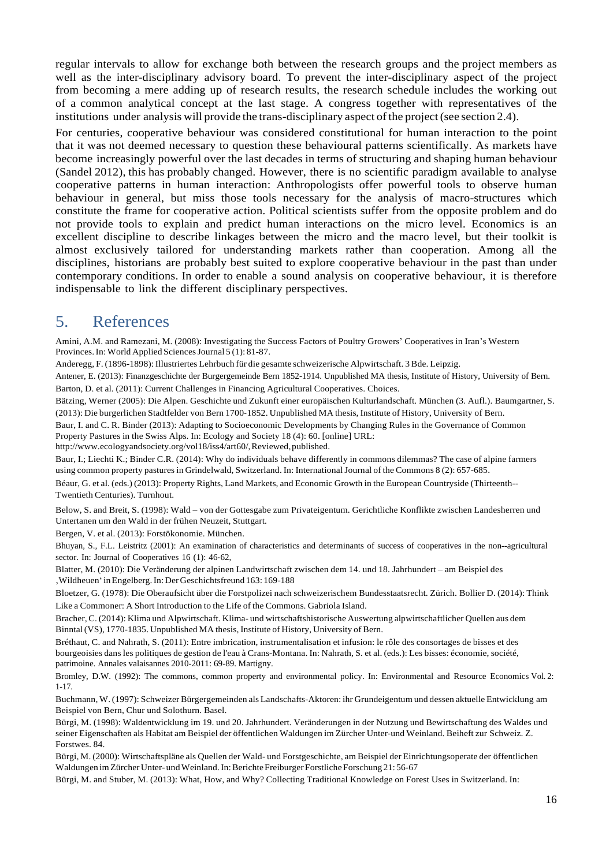regular intervals to allow for exchange both between the research groups and the project members as well as the inter-disciplinary advisory board. To prevent the inter-disciplinary aspect of the project from becoming a mere adding up of research results, the research schedule includes the working out of a common analytical concept at the last stage. A congress together with representatives of the institutions under analysis will provide the trans-disciplinary aspect of the project (see section 2.4).

For centuries, cooperative behaviour was considered constitutional for human interaction to the point that it was not deemed necessary to question these behavioural patterns scientifically. As markets have become increasingly powerful over the last decades in terms of structuring and shaping human behaviour (Sandel 2012), this has probably changed. However, there is no scientific paradigm available to analyse cooperative patterns in human interaction: Anthropologists offer powerful tools to observe human behaviour in general, but miss those tools necessary for the analysis of macro-structures which constitute the frame for cooperative action. Political scientists suffer from the opposite problem and do not provide tools to explain and predict human interactions on the micro level. Economics is an excellent discipline to describe linkages between the micro and the macro level, but their toolkit is almost exclusively tailored for understanding markets rather than cooperation. Among all the disciplines, historians are probably best suited to explore cooperative behaviour in the past than under contemporary conditions. In order to enable a sound analysis on cooperative behaviour, it is therefore indispensable to link the different disciplinary perspectives.

# <span id="page-15-0"></span>5. References

Amini, A.M. and Ramezani, M. (2008): Investigating the Success Factors of Poultry Growers' Cooperatives in Iran's Western Provinces.In: World Applied SciencesJournal 5 (1): 81-87.

Anderegg, F. (1896-1898): Illustriertes Lehrbuch für die gesamte schweizerische Alpwirtschaft. 3 Bde. Leipzig.

Antener, E. (2013): Finanzgeschichte der Burgergemeinde Bern 1852-1914. Unpublished MA thesis, Institute of History, University of Bern. Barton, D. et al. (2011): Current Challenges in Financing Agricultural Cooperatives. Choices.

Bätzing, Werner (2005): Die Alpen. Geschichte und Zukunft einer europäischen Kulturlandschaft. München (3. Aufl.). Baumgartner, S. (2013): Die burgerlichen Stadtfelder von Bern 1700‐1852. Unpublished MA thesis, Institute of History, University of Bern.

Baur, I. and C. R. Binder (2013): Adapting to Socioeconomic Developments by Changing Rules in the Governance of Common Property Pastures in the Swiss Alps. In: Ecology and Society 18 (4): 60. [online] URL:

[http://www.ecologyandsociety.org/vol18/iss4/art60/,R](http://www.ecologyandsociety.org/vol18/iss4/art60/)eviewed,published.

Baur, I.; Liechti K.; Binder C.R. (2014): Why do individuals behave differently in commons dilemmas? The case of alpine farmers using common property pastures in Grindelwald, Switzerland. In: International Journal of the Commons 8 (2): 657-685.

Béaur, G. et al. (eds.) (2013): Property Rights, Land Markets, and Economic Growth in the European Countryside (Thirteenth-- Twentieth Centuries). Turnhout.

Below, S. and Breit, S. (1998): Wald – von der Gottesgabe zum Privateigentum. Gerichtliche Konflikte zwischen Landesherren und Untertanen um den Wald in der frühen Neuzeit, Stuttgart.

Bergen, V. et al. (2013): Forstökonomie. München.

Bhuyan, S., F.L. Leistritz (2001): An examination of characteristics and determinants of success of cooperatives in the non--agricultural sector. In: Journal of Cooperatives 16 (1): 46-62,

Blatter, M. (2010): Die Veränderung der alpinen Landwirtschaft zwischen dem 14. und 18. Jahrhundert – am Beispiel des 'Wildheuen'inEngelberg.In:DerGeschichtsfreund 163: 169-188

Bloetzer, G. (1978): Die Oberaufsicht über die Forstpolizei nach schweizerischem Bundesstaatsrecht. Zürich. Bollier D. (2014): Think Like a Commoner: A Short Introduction to the Life of the Commons. Gabriola Island.

Bracher, C. (2014): Klima und Alpwirtschaft. Klima- und wirtschaftshistorische Auswertung alpwirtschaftlicher Quellen aus dem Binntal (VS), 1770-1835. Unpublished MA thesis, Institute of History, University of Bern.

Bréthaut, C. and Nahrath, S. (2011): Entre imbrication, instrumentalisation et infusion: le rôle des consortages de bisses et des bourgeoisies dans les politiques de gestion de l'eau à Crans-Montana. In: Nahrath, S. et al. (eds.): Les bisses: économie, société, patrimoine. Annales valaisannes 2010-2011: 69-89. Martigny.

Bromley, D.W. (1992): The commons, common property and environmental policy. In: Environmental and Resource Economics Vol. 2: 1-17.

Buchmann, W.(1997): SchweizerBürgergemeinden als Landschafts-Aktoren: ihr Grundeigentum und dessen aktuelle Entwicklung am Beispiel von Bern, Chur und Solothurn. Basel.

Bürgi, M. (1998): Waldentwicklung im 19. und 20. Jahrhundert. Veränderungen in der Nutzung und Bewirtschaftung des Waldes und seiner Eigenschaften als Habitat am Beispiel der öffentlichen Waldungen im Zürcher Unter-und Weinland. Beiheft zur Schweiz. Z. Forstwes. 84.

Bürgi, M. (2000): Wirtschaftspläne als Quellen der Wald- und Forstgeschichte, am Beispiel der Einrichtungsoperate der öffentlichen Waldungen im Zürcher Unter- und Weinland. In: Berichte Freiburger Forstliche Forschung 21: 56-67

Bürgi, M. and Stuber, M. (2013): What, How, and Why? Collecting Traditional Knowledge on Forest Uses in Switzerland. In: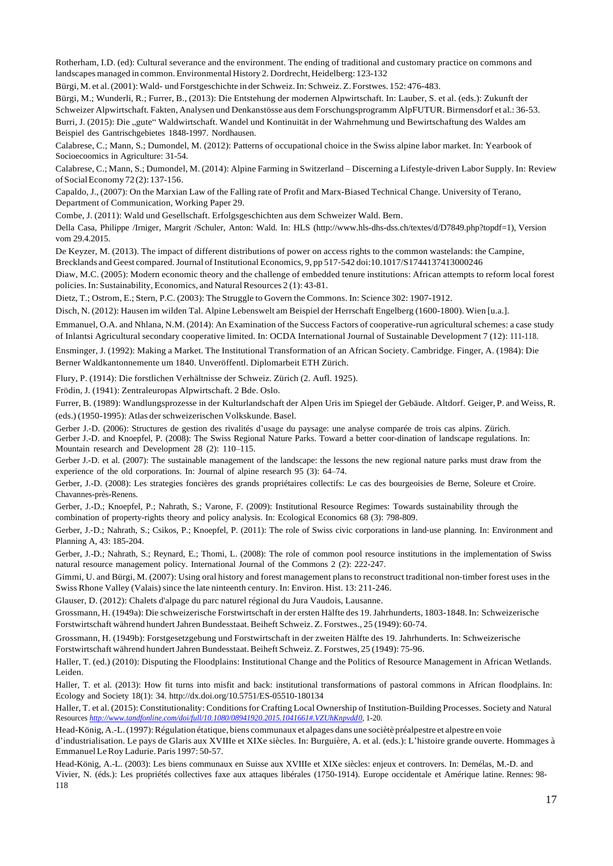Rotherham, I.D. (ed): Cultural severance and the environment. The ending of traditional and customary practice on commons and landscapesmanaged in common. Environmental History 2. Dordrecht, Heidelberg: 123-132

Bürgi, M. et al.(2001): Wald- und Forstgeschichte in der Schweiz.In: Schweiz. Z. Forstwes. 152: 476-483.

Bürgi, M.; Wunderli, R.; Furrer, B., (2013): Die Entstehung der modernen Alpwirtschaft. In: Lauber, S. et al. (eds.): Zukunft der Schweizer Alpwirtschaft. Fakten, Analysen und Denkanstösse aus dem Forschungsprogramm AlpFUTUR. Birmensdorf et al.: 36-53. Burri, J. (2015): Die "gute" Waldwirtschaft. Wandel und Kontinuität in der Wahrnehmung und Bewirtschaftung des Waldes am Beispiel des Gantrischgebietes 1848-1997. Nordhausen.

Calabrese, C.; Mann, S.; Dumondel, M. (2012): Patterns of occupational choice in the Swiss alpine labor market. In: Yearbook of Socioecoomics in Agriculture: 31-54.

Calabrese, C.; Mann, S.; Dumondel, M. (2014): Alpine Farming in Switzerland – Discerning a Lifestyle-driven Labor Supply. In: Review ofSocialEconomy 72 (2): 137-156.

Capaldo, J., (2007): On the Marxian Law of the Falling rate of Profit and Marx-Biased Technical Change. University of Terano, Department of Communication, Working Paper 29.

Combe, J. (2011): Wald und Gesellschaft. Erfolgsgeschichten aus dem Schweizer Wald. Bern.

Della Casa, Philippe /Irniger, Margrit /Schuler, Anton: Wald. In: HLS (http://www.hls-dhs-dss.ch/textes/d/D7849.php?topdf=1), Version vom 29.4.2015.

De Keyzer, M. (2013). The impact of different distributions of power on access rights to the common wastelands: the Campine, Brecklands and Geest compared. Journal of Institutional Economics, 9, pp 517-542 doi:10.1017/S1744137413000246

Diaw, M.C. (2005): Modern economic theory and the challenge of embedded tenure institutions: African attempts to reform local forest policies. In: Sustainability, Economics, and Natural Resources 2 (1): 43-81.

Dietz, T.; Ostrom, E.; Stern, P.C. (2003): The Struggle to Govern the Commons. In: Science 302: 1907-1912.

Disch, N. (2012): Hausen im wilden Tal. Alpine Lebenswelt am Beispiel der Herrschaft Engelberg (1600-1800). Wien [u.a.].

Emmanuel, O.A. and Nhlana, N.M. (2014): An Examination of the Success Factors of cooperative-run agricultural schemes: a case study of Inlantsi Agricultural secondary cooperative limited. In: OCDA International Journal of Sustainable Development 7 (12): 111-118.

Ensminger, J. (1992): Making a Market. The Institutional Transformation of an African Society. Cambridge. Finger, A. (1984): Die Berner Waldkantonnemente um 1840. Unveröffentl. Diplomarbeit ETH Zürich.

Flury, P. (1914): Die forstlichen Verhältnisse der Schweiz. Zürich (2. Aufl. 1925).

Frödin, J. (1941): Zentraleuropas Alpwirtschaft. 2 Bde. Oslo.

Furrer, B. (1989): Wandlungsprozesse in der Kulturlandschaft der Alpen Uris im Spiegel der Gebäude. Altdorf. Geiger, P. and Weiss, R. (eds.) (1950-1995): Atlas derschweizerischen Volkskunde. Basel.

Gerber J.‐D. (2006): Structures de gestion des rivalités d'usage du paysage: une analyse comparée de trois cas alpins. Zürich. Gerber J.-D. and Knoepfel, P. (2008): The Swiss Regional Nature Parks. Toward a better coor-dination of landscape regulations. In: Mountain research and Development 28 (2): 110–115.

Gerber J.-D. et al. (2007): The sustainable management of the landscape: the lessons the new regional nature parks must draw from the experience of the old corporations. In: Journal of alpine research 95 (3): 64–74.

Gerber, J.-D. (2008): Les strategies foncières des grands propriétaires collectifs: Le cas des bourgeoisies de Berne, Soleure et Croire. Chavannes-près-Renens.

Gerber, J.-D.; Knoepfel, P.; Nahrath, S.; Varone, F. (2009): Institutional Resource Regimes: Towards sustainability through the combination of property-rights theory and policy analysis. In: Ecological Economics 68 (3): 798-809.

Gerber, J.‐D.; Nahrath, S.; Csikos, P.; Knoepfel, P. (2011): The role of Swiss civic corporations in land‐use planning. In: Environment and Planning A, 43: 185-204.

Gerber, J.-D.; Nahrath, S.; Reynard, E.; Thomi, L. (2008): The role of common pool resource institutions in the implementation of Swiss natural resource management policy. International Journal of the Commons 2 (2): 222-247.

Gimmi, U. and Bürgi, M. (2007): Using oral history and forest management plans to reconstruct traditional non‐timber forest uses in the Swiss Rhone Valley (Valais) since the late ninteenth century. In: Environ. Hist. 13: 211-246.

Glauser, D. (2012): Chalets d'alpage du parc naturel régional du Jura Vaudois, Lausanne.

Grossmann, H. (1949a): Die schweizerische Forstwirtschaft in der ersten Hälfte des 19.Jahrhunderts, 1803-1848. In: Schweizerische Forstwirtschaft während hundertJahren Bundesstaat.Beiheft Schweiz. Z. Forstwes., 25 (1949): 60-74.

Grossmann, H. (1949b): Forstgesetzgebung und Forstwirtschaft in der zweiten Hälfte des 19. Jahrhunderts. In: Schweizerische Forstwirtschaft während hundertJahren Bundesstaat. Beiheft Schweiz. Z. Forstwes, 25 (1949): 75-96.

Haller, T. (ed.) (2010): Disputing the Floodplains: Institutional Change and the Politics of Resource Management in African Wetlands. Leiden.

Haller, T. et al. (2013): How fit turns into misfit and back: institutional transformations of pastoral commons in African floodplains. In: Ecology and Society 18(1): 34. [http://dx.doi.org/10.5751/ES-0](http://dx.doi.org/10.5751/ES-)5510-180134

Haller, T. et al. (2015): Constitutionality: Conditionsfor Crafting Local Ownership of Institution-Building Processes. Society and Natural Resources *<http://www.tandfonline.com/doi/full/10.1080/08941920.2015.1041661#.VZUhKnpvdd0>*, 1-20.

Head-König, A.-L. (1997): Régulation étatique, biens communaux et alpages dans une sociètè préalpestre et alpestre en voie d'industrialisation. Le pays de Glaris aux XVIIIe et XIXe siècles. In: Burguière, A. et al. (eds.): L'histoire grande ouverte. Hommages à EmmanuelLeRoy Ladurie. Paris 1997: 50-57.

Head-König, A.-L. (2003): Les biens communaux en Suisse aux XVIIIe et XIXe siècles: enjeux et controvers. In: Demélas, M.-D. and Vivier, N. (éds.): Les propriétés collectives faxe aux attaques libérales (1750-1914). Europe occidentale et Amérique latine. Rennes: 98- 118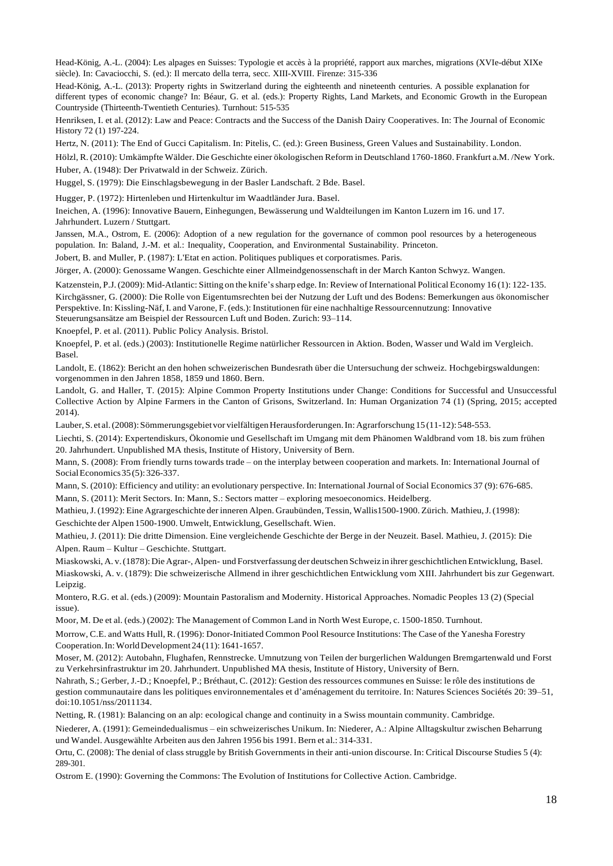Head-König, A.-L. (2004): Les alpages en Suisses: Typologie et accès à la propriété, rapport aux marches, migrations (XVIe-début XIXe siècle). In: Cavaciocchi, S. (ed.): Il mercato della terra, secc. XIII-XVIII. Firenze: 315-336

Head‐König, A.-L. (2013): Property rights in Switzerland during the eighteenth and nineteenth centuries. A possible explanation for different types of economic change? In: Béaur, G. et al. (eds.): Property Rights, Land Markets, and Economic Growth in the European Countryside (Thirteenth-Twentieth Centuries). Turnhout: 515-535

Henriksen, I. et al. (2012): Law and Peace: Contracts and the Success of the Danish Dairy Cooperatives. In: The Journal of Economic History 72 (1) 197-224.

Hertz, N. (2011): The End of Gucci Capitalism. In: Pitelis, C. (ed.): Green Business, Green Values and Sustainability. London.

Hölzl, R. (2010): Umkämpfte Wälder. Die Geschichte einer ökologischen Reform in Deutschland 1760-1860. Frankfurt a.M. /New York. Huber, A. (1948): Der Privatwald in der Schweiz. Zürich.

Huggel, S. (1979): Die Einschlagsbewegung in der Basler Landschaft. 2 Bde. Basel.

Hugger, P. (1972): Hirtenleben und Hirtenkultur im Waadtländer Jura. Basel.

Ineichen, A. (1996): Innovative Bauern, Einhegungen, Bewässerung und Waldteilungen im Kanton Luzern im 16. und 17. Jahrhundert. Luzern / Stuttgart.

Janssen, M.A., Ostrom, E. (2006): Adoption of a new regulation for the governance of common pool resources by a heterogeneous population. In: Baland, J.-M. et al.: Inequality, Cooperation, and Environmental Sustainability. Princeton.

Jobert, B. and Muller, P. (1987): L'Etat en action. Politiques publiques et corporatismes. Paris.

Jörger, A. (2000): Genossame Wangen. Geschichte einer Allmeindgenossenschaft in der March Kanton Schwyz. Wangen.

Katzenstein, P.J. (2009): Mid-Atlantic: Sitting on the knife's sharp edge. In: Review of International Political Economy 16 (1): 122-135. Kirchgässner, G. (2000): Die Rolle von Eigentumsrechten bei der Nutzung der Luft und des Bodens: Bemerkungen aus ökonomischer Perspektive. In: Kissling-Näf, I. and Varone, F. (eds.): Institutionen für eine nachhaltige Ressourcennutzung: Innovative Steuerungsansätze am Beispiel der Ressourcen Luft und Boden. Zurich: 93–114.

Knoepfel, P. et al. (2011). Public Policy Analysis. Bristol.

Knoepfel, P. et al. (eds.) (2003): Institutionelle Regime natürlicher Ressourcen in Aktion. Boden, Wasser und Wald im Vergleich. Basel.

Landolt, E. (1862): Bericht an den hohen schweizerischen Bundesrath über die Untersuchung der schweiz. Hochgebirgswaldungen: vorgenommen in den Jahren 1858, 1859 und 1860. Bern.

Landolt, G. and Haller, T. (2015): Alpine Common Property Institutions under Change: Conditions for Successful and Unsuccessful Collective Action by Alpine Farmers in the Canton of Grisons, Switzerland. In: Human Organization 74 (1) (Spring, 2015; accepted 2014).

Lauber, S. et al. (2008): Sömmerungsgebiet vor vielfältigen Herausforderungen. In: Agrarforschung 15 (11-12): 548-553.

Liechti, S. (2014): Expertendiskurs, Ökonomie und Gesellschaft im Umgang mit dem Phänomen Waldbrand vom 18. bis zum frühen 20. Jahrhundert. Unpublished MA thesis, Institute of History, University of Bern.

Mann, S. (2008): From friendly turns towards trade – on the interplay between cooperation and markets. In: International Journal of Social Economics 35(5): 326-337.

Mann, S. (2010): Efficiency and utility: an evolutionary perspective. In: International Journal of Social Economics 37 (9): 676-685. Mann, S. (2011): Merit Sectors. In: Mann, S.: Sectors matter – exploring mesoeconomics. Heidelberg.

Mathieu,J.(1992): Eine Agrargeschichte der inneren Alpen. Graubünden, Tessin, Wallis1500-1900. Zürich. Mathieu,J.(1998): Geschichte der Alpen 1500-1900. Umwelt, Entwicklung, Gesellschaft. Wien.

Mathieu, J. (2011): Die dritte Dimension. Eine vergleichende Geschichte der Berge in der Neuzeit. Basel. Mathieu, J. (2015): Die Alpen. Raum – Kultur – Geschichte. Stuttgart.

Miaskowski, A. v.(1878):Die Agrar-, Alpen- und Forstverfassung der deutschen Schweiz in ihrer geschichtlichen Entwicklung, Basel. Miaskowski, A. v. (1879): Die schweizerische Allmend in ihrer geschichtlichen Entwicklung vom XIII. Jahrhundert bis zur Gegenwart. Leipzig.

Montero, R.G. et al. (eds.) (2009): Mountain Pastoralism and Modernity. Historical Approaches. Nomadic Peoples 13 (2) (Special issue).

Moor, M. De et al. (eds.) (2002): The Management of Common Land in North West Europe, c. 1500-1850. Turnhout.

Morrow, C.E. and Watts Hull, R. (1996): Donor-Initiated Common Pool Resource Institutions: The Case of the Yanesha Forestry Cooperation.In:WorldDevelopment24 (11):1641-1657.

Moser, M. (2012): Autobahn, Flughafen, Rennstrecke. Umnutzung von Teilen der burgerlichen Waldungen Bremgartenwald und Forst zu Verkehrsinfrastruktur im 20. Jahrhundert. Unpublished MA thesis, Institute of History, University of Bern.

Nahrath, S.; Gerber, J.-D.; Knoepfel, P.; Bréthaut, C. (2012): Gestion des ressources communes en Suisse: le rôle des institutions de

gestion communautaire dans les politiques environnementales et d'aménagement du territoire. In: Natures Sciences Sociétés 20: 39–51, doi:10.1051/nss/2011134.

Netting, R. (1981): Balancing on an alp: ecological change and continuity in a Swiss mountain community. Cambridge.

Niederer, A. (1991): Gemeindedualismus – ein schweizerisches Unikum. In: Niederer, A.: Alpine Alltagskultur zwischen Beharrung und Wandel. Ausgewählte Arbeiten aus den Jahren 1956 bis 1991. Bern et al.: 314-331.

Ortu, C. (2008): The denial of class struggle by British Governments in their anti-union discourse. In: Critical Discourse Studies 5 (4): 289-301.

Ostrom E. (1990): Governing the Commons: The Evolution of Institutions for Collective Action. Cambridge.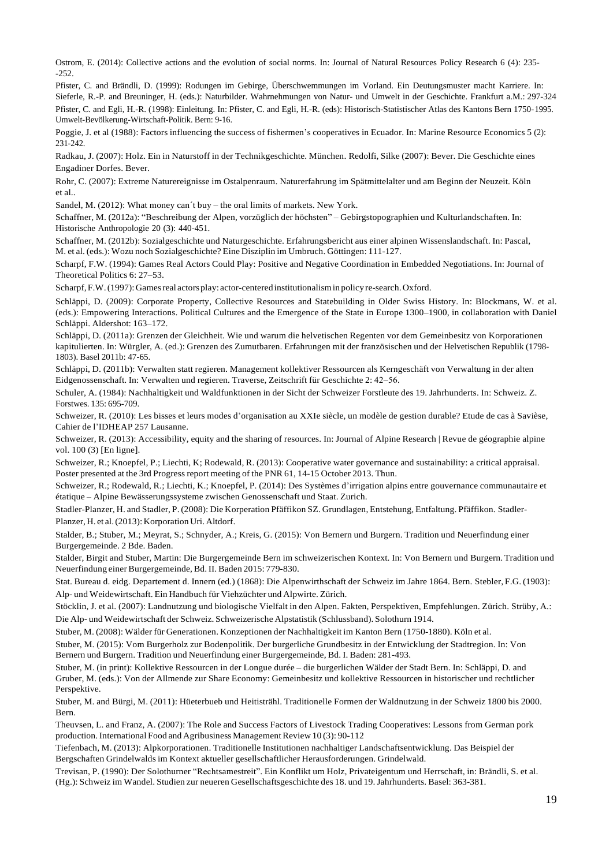Ostrom, E. (2014): Collective actions and the evolution of social norms. In: Journal of Natural Resources Policy Research 6 (4): 235- -252.

Pfister, C. and Brändli, D. (1999): Rodungen im Gebirge, Überschwemmungen im Vorland. Ein Deutungsmuster macht Karriere. In: Sieferle, R.-P. and Breuninger, H. (eds.): Naturbilder. Wahrnehmungen von Natur- und Umwelt in der Geschichte. Frankfurt a.M.: 297-324 Pfister, C. and Egli, H.-R. (1998): Einleitung. In: Pfister, C. and Egli, H.-R. (eds): Historisch-Statistischer Atlas des Kantons Bern 1750-1995. Umwelt-Bevölkerung-Wirtschaft-Politik. Bern: 9-16.

Poggie, J. et al (1988): Factors influencing the success of fishermen's cooperatives in Ecuador. In: Marine Resource Economics 5 (2): 231-242.

Radkau, J. (2007): Holz. Ein in Naturstoff in der Technikgeschichte. München. Redolfi, Silke (2007): Bever. Die Geschichte eines Engadiner Dorfes. Bever.

Rohr, C. (2007): Extreme Naturereignisse im Ostalpenraum. Naturerfahrung im Spätmittelalter und am Beginn der Neuzeit. Köln et al..

Sandel, M. (2012): What money can´t buy – the oral limits of markets. New York.

Schaffner, M. (2012a): "Beschreibung der Alpen, vorzüglich der höchsten" – Gebirgstopographien und Kulturlandschaften. In: Historische Anthropologie 20 (3): 440-451.

Schaffner, M. (2012b): Sozialgeschichte und Naturgeschichte. Erfahrungsbericht aus einer alpinen Wissenslandschaft. In: Pascal, M. et al. (eds.): Wozu noch Sozialgeschichte? Eine Disziplin im Umbruch. Göttingen: 111-127.

Scharpf, F.W. (1994): Games Real Actors Could Play: Positive and Negative Coordination in Embedded Negotiations. In: Journal of Theoretical Politics 6: 27–53.

Scharpf,F.W.(1997):Gamesreal actorsplay: actor-centered institutionalismin policy re-search.Oxford.

Schläppi, D. (2009): Corporate Property, Collective Resources and Statebuilding in Older Swiss History. In: Blockmans, W. et al. (eds.): Empowering Interactions. Political Cultures and the Emergence of the State in Europe 1300–1900, in collaboration with Daniel Schläppi. Aldershot: 163–172.

Schläppi, D. (2011a): Grenzen der Gleichheit. Wie und warum die helvetischen Regenten vor dem Gemeinbesitz von Korporationen kapitulierten. In: Würgler, A. (ed.): Grenzen des Zumutbaren. Erfahrungen mit der französischen und der Helvetischen Republik (1798- 1803). Basel 2011b: 47-65.

Schläppi, D. (2011b): Verwalten statt regieren. Management kollektiver Ressourcen als Kerngeschäft von Verwaltung in der alten Eidgenossenschaft. In: Verwalten und regieren. Traverse, Zeitschrift für Geschichte 2: 42–56.

Schuler, A. (1984): Nachhaltigkeit und Waldfunktionen in der Sicht der Schweizer Forstleute des 19. Jahrhunderts. In: Schweiz. Z. Forstwes. 135: 695-709.

Schweizer, R. (2010): Les bisses et leurs modes d'organisation au XXIe siècle, un modèle de gestion durable? Etude de cas à Savièse, Cahier de l'IDHEAP 257 Lausanne.

Schweizer, R. (2013): Accessibility, equity and the sharing of resources. In: Journal of Alpine Research | Revue de géographie alpine vol. 100 (3) [En ligne].

Schweizer, R.; Knoepfel, P.; Liechti, K; Rodewald, R. (2013): Cooperative water governance and sustainability: a critical appraisal. Poster presented at the 3rd Progress report meeting of the PNR 61, 14-15 October 2013. Thun.

Schweizer, R.; Rodewald, R.; Liechti, K.; Knoepfel, P. (2014): Des Systèmes d'irrigation alpins entre gouvernance communautaire et étatique – Alpine Bewässerungssysteme zwischen Genossenschaft und Staat. Zurich.

Stadler-Planzer, H. and Stadler, P. (2008): Die Korperation Pfäffikon SZ. Grundlagen, Entstehung, Entfaltung. Pfäffikon. Stadler-Planzer, H. et al. (2013): Korporation Uri. Altdorf.

Stalder, B.; Stuber, M.; Meyrat, S.; Schnyder, A.; Kreis, G. (2015): Von Bernern und Burgern. Tradition und Neuerfindung einer Burgergemeinde. 2 Bde. Baden.

Stalder, Birgit and Stuber, Martin: Die Burgergemeinde Bern im schweizerischen Kontext. In: Von Bernern und Burgern. Tradition und Neuerfindung einer Burgergemeinde, Bd. II. Baden 2015: 779-830.

Stat. Bureau d. eidg. Departement d. Innern (ed.) (1868): Die Alpenwirthschaft der Schweiz im Jahre 1864. Bern. Stebler, F.G. (1903): Alp- und Weidewirtschaft. Ein Handbuch für Viehzüchter und Alpwirte. Zürich.

Stöcklin, J. et al. (2007): Landnutzung und biologische Vielfalt in den Alpen. Fakten, Perspektiven, Empfehlungen. Zürich. Strüby, A.: Die Alp- und Weidewirtschaft der Schweiz. Schweizerische Alpstatistik (Schlussband). Solothurn 1914.

Stuber, M. (2008): Wälder für Generationen. Konzeptionen der Nachhaltigkeit im Kanton Bern (1750-1880). Köln et al.

Stuber, M. (2015): Vom Burgerholz zur Bodenpolitik. Der burgerliche Grundbesitz in der Entwicklung der Stadtregion. In: Von Bernern und Burgern. Tradition und Neuerfindung einer Burgergemeinde, Bd. I. Baden: 281-493.

Stuber, M. (in print): Kollektive Ressourcen in der Longue durée – die burgerlichen Wälder der Stadt Bern. In: Schläppi, D. and Gruber, M. (eds.): Von der Allmende zur Share Economy: Gemeinbesitz und kollektive Ressourcen in historischer und rechtlicher Perspektive.

Stuber, M. and Bürgi, M. (2011): Hüeterbueb und Heitisträhl. Traditionelle Formen der Waldnutzung in der Schweiz 1800 bis 2000. Bern.

Theuvsen, L. and Franz, A. (2007): The Role and Success Factors of Livestock Trading Cooperatives: Lessons from German pork production. International Food and Agribusiness Management Review 10 (3): 90-112

Tiefenbach, M. (2013): Alpkorporationen. Traditionelle Institutionen nachhaltiger Landschaftsentwicklung. Das Beispiel der Bergschaften Grindelwalds im Kontext aktueller gesellschaftlicher Herausforderungen. Grindelwald.

Trevisan, P. (1990): Der Solothurner "Rechtsamestreit". Ein Konflikt um Holz, Privateigentum und Herrschaft, in: Brändli, S. et al. (Hg.): Schweiz im Wandel. Studien zur neueren Gesellschaftsgeschichte des 18. und 19.Jahrhunderts. Basel: 363-381.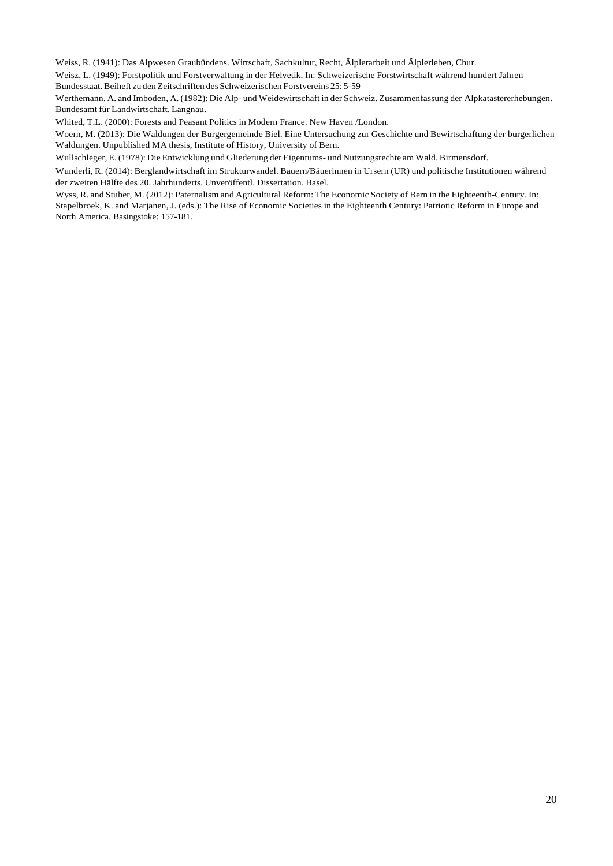Weiss, R. (1941): Das Alpwesen Graubündens. Wirtschaft, Sachkultur, Recht, Älplerarbeit und Älplerleben, Chur.

Weisz, L. (1949): Forstpolitik und Forstverwaltung in der Helvetik. In: Schweizerische Forstwirtschaft während hundert Jahren Bundesstaat.Beiheft zu den Zeitschriften des Schweizerischen Forstvereins 25: 5-59

Werthemann, A. and Imboden, A. (1982): Die Alp- und Weidewirtschaft in der Schweiz. Zusammenfassung der Alpkatastererhebungen. Bundesamt für Landwirtschaft. Langnau.

Whited, T.L. (2000): Forests and Peasant Politics in Modern France. New Haven /London.

Woern, M. (2013): Die Waldungen der Burgergemeinde Biel. Eine Untersuchung zur Geschichte und Bewirtschaftung der burgerlichen Waldungen. Unpublished MA thesis, Institute of History, University of Bern.

Wullschleger, E. (1978): Die Entwicklung und Gliederung der Eigentums- und Nutzungsrechte am Wald. Birmensdorf.

Wunderli, R. (2014): Berglandwirtschaft im Strukturwandel. Bauern/Bäuerinnen in Ursern (UR) und politische Institutionen während der zweiten Hälfte des 20. Jahrhunderts. Unveröffentl. Dissertation. Basel.

Wyss, R. and Stuber, M. (2012): Paternalism and Agricultural Reform: The Economic Society of Bern in the Eighteenth-Century. In: Stapelbroek, K. and Marjanen, J. (eds.): The Rise of Economic Societies in the Eighteenth Century: Patriotic Reform in Europe and North America. Basingstoke: 157-181.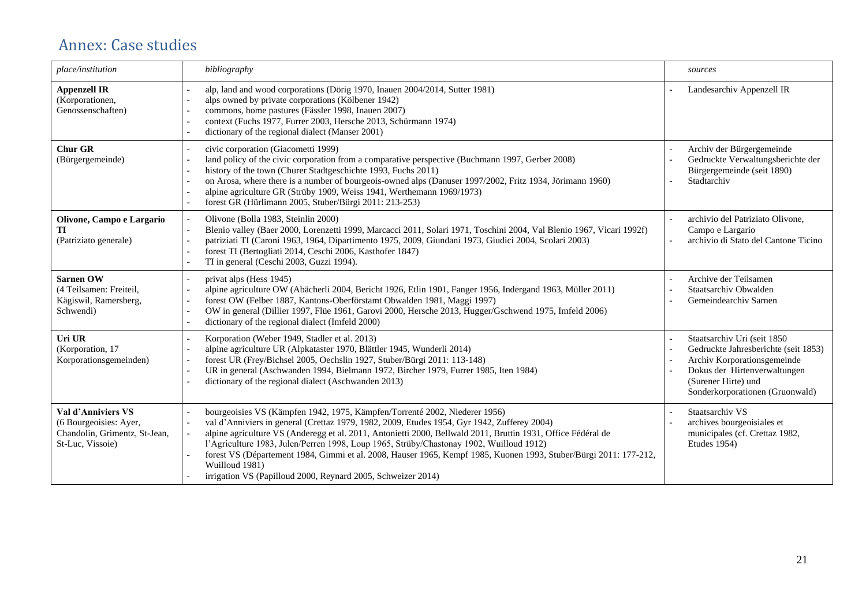# Annex: Case studies

<span id="page-20-0"></span>

| place/institution                                                                                 | bibliography                                                                                                                                                                                                                                                                                                                                                                                                                                                                                                                                                                                | sources                                                                                                                                                                                      |
|---------------------------------------------------------------------------------------------------|---------------------------------------------------------------------------------------------------------------------------------------------------------------------------------------------------------------------------------------------------------------------------------------------------------------------------------------------------------------------------------------------------------------------------------------------------------------------------------------------------------------------------------------------------------------------------------------------|----------------------------------------------------------------------------------------------------------------------------------------------------------------------------------------------|
| <b>Appenzell IR</b><br>(Korporationen,<br>Genossenschaften)                                       | alp, land and wood corporations (Dörig 1970, Inauen 2004/2014, Sutter 1981)<br>alps owned by private corporations (Kölbener 1942)<br>commons, home pastures (Fässler 1998, Inauen 2007)<br>context (Fuchs 1977, Furrer 2003, Hersche 2013, Schürmann 1974)<br>dictionary of the regional dialect (Manser 2001)                                                                                                                                                                                                                                                                              | Landesarchiv Appenzell IR                                                                                                                                                                    |
| <b>Chur GR</b><br>(Bürgergemeinde)                                                                | civic corporation (Giacometti 1999)<br>land policy of the civic corporation from a comparative perspective (Buchmann 1997, Gerber 2008)<br>history of the town (Churer Stadtgeschichte 1993, Fuchs 2011)<br>on Arosa, where there is a number of bourgeois-owned alps (Danuser 1997/2002, Fritz 1934, Jörimann 1960)<br>alpine agriculture GR (Strüby 1909, Weiss 1941, Werthemann 1969/1973)<br>forest GR (Hürlimann 2005, Stuber/Bürgi 2011: 213-253)                                                                                                                                     | Archiv der Bürgergemeinde<br>Gedruckte Verwaltungsberichte der<br>Bürgergemeinde (seit 1890)<br>Stadtarchiv                                                                                  |
| Olivone, Campo e Largario<br>TI<br>(Patriziato generale)                                          | Olivone (Bolla 1983, Steinlin 2000)<br>Blenio valley (Baer 2000, Lorenzetti 1999, Marcacci 2011, Solari 1971, Toschini 2004, Val Blenio 1967, Vicari 1992f)<br>patriziati TI (Caroni 1963, 1964, Dipartimento 1975, 2009, Giundani 1973, Giudici 2004, Scolari 2003)<br>forest TI (Bertogliati 2014, Ceschi 2006, Kasthofer 1847)<br>TI in general (Ceschi 2003, Guzzi 1994).                                                                                                                                                                                                               | archivio del Patriziato Olivone,<br>Campo e Largario<br>archivio di Stato del Cantone Ticino                                                                                                 |
| <b>Sarnen OW</b><br>(4 Teilsamen: Freiteil,<br>Kägiswil, Ramersberg,<br>Schwendi)                 | privat alps (Hess 1945)<br>alpine agriculture OW (Abächerli 2004, Bericht 1926, Etlin 1901, Fanger 1956, Indergand 1963, Müller 2011)<br>forest OW (Felber 1887, Kantons-Oberförstamt Obwalden 1981, Maggi 1997)<br>OW in general (Dillier 1997, Flüe 1961, Garovi 2000, Hersche 2013, Hugger/Gschwend 1975, Imfeld 2006)<br>dictionary of the regional dialect (Imfeld 2000)                                                                                                                                                                                                               | Archive der Teilsamen<br>Staatsarchiv Obwalden<br>Gemeindearchiv Sarnen                                                                                                                      |
| Uri UR<br>(Korporation, 17<br>Korporationsgemeinden)                                              | Korporation (Weber 1949, Stadler et al. 2013)<br>alpine agriculture UR (Alpkataster 1970, Blättler 1945, Wunderli 2014)<br>forest UR (Frey/Bichsel 2005, Oechslin 1927, Stuber/Bürgi 2011: 113-148)<br>UR in general (Aschwanden 1994, Bielmann 1972, Bircher 1979, Furrer 1985, Iten 1984)<br>dictionary of the regional dialect (Aschwanden 2013)                                                                                                                                                                                                                                         | Staatsarchiv Uri (seit 1850<br>Gedruckte Jahresberichte (seit 1853)<br>Archiv Korporationsgemeinde<br>Dokus der Hirtenverwaltungen<br>(Surener Hirte) und<br>Sonderkorporationen (Gruonwald) |
| Val d'Anniviers VS<br>(6 Bourgeoisies: Ayer,<br>Chandolin, Grimentz, St-Jean,<br>St-Luc, Vissoie) | bourgeoisies VS (Kämpfen 1942, 1975, Kämpfen/Torrenté 2002, Niederer 1956)<br>val d'Anniviers in general (Crettaz 1979, 1982, 2009, Etudes 1954, Gyr 1942, Zufferey 2004)<br>alpine agriculture VS (Anderegg et al. 2011, Antonietti 2000, Bellwald 2011, Bruttin 1931, Office Fédéral de<br>l'Agriculture 1983, Julen/Perren 1998, Loup 1965, Strüby/Chastonay 1902, Wuilloud 1912)<br>forest VS (Département 1984, Gimmi et al. 2008, Hauser 1965, Kempf 1985, Kuonen 1993, Stuber/Bürgi 2011: 177-212,<br>Wuilloud 1981)<br>irrigation VS (Papilloud 2000, Reynard 2005, Schweizer 2014) | Staatsarchiv VS<br>archives bourgeoisiales et<br>municipales (cf. Crettaz 1982,<br>Etudes 1954)                                                                                              |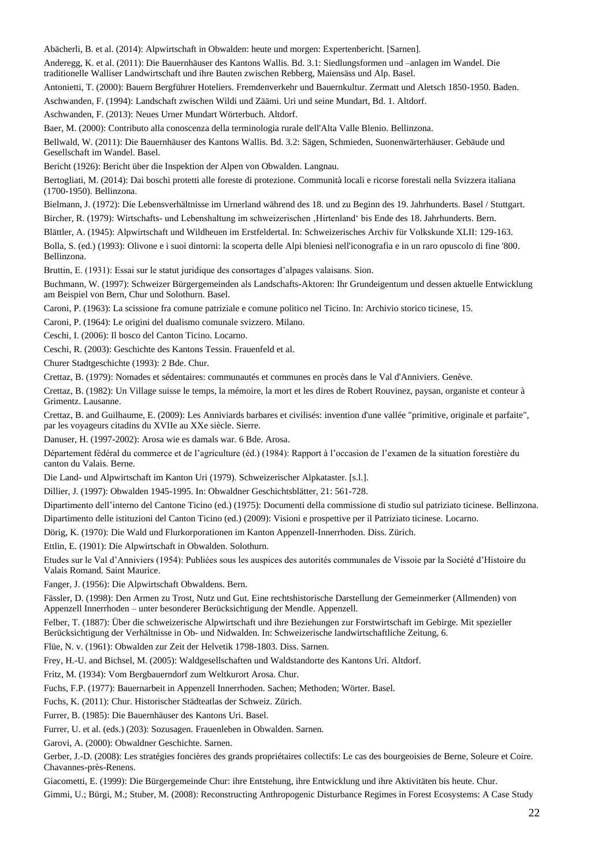Abächerli, B. et al. (2014): Alpwirtschaft in Obwalden: heute und morgen: Expertenbericht. [Sarnen].

Anderegg, K. et al. (2011): Die Bauernhäuser des Kantons Wallis. Bd. 3.1: Siedlungsformen und –anlagen im Wandel. Die traditionelle Walliser Landwirtschaft und ihre Bauten zwischen Rebberg, Maiensäss und Alp. Basel.

Antonietti, T. (2000): Bauern Bergführer Hoteliers. Fremdenverkehr und Bauernkultur. Zermatt und Aletsch 1850-1950. Baden.

Aschwanden, F. (1994): Landschaft zwischen Wildi und Zäämi. Uri und seine Mundart, Bd. 1. Altdorf.

Aschwanden, F. (2013): Neues Urner Mundart Wörterbuch. Altdorf.

Baer, M. (2000)[: Contributo alla conoscenza della terminologia rurale dell'Alta Valle Blenio. B](http://opac.admin.ch:9080/lib/item?id=chamo:1253739&theme=Helveticat)ellinzona.

Bellwald, W. (2011): Die Bauernhäuser des Kantons Wallis. Bd. 3.2: Sägen, Schmieden, Suonenwärterhäuser. Gebäude und Gesellschaft im Wandel. Basel.

Bericht (1926): Bericht über die Inspektion der Alpen von Obwalden. Langnau.

Bertogliati, M. (2014): Dai boschi protetti alle foreste di protezione. Communità locali e ricorse forestali nella Svizzera italiana (1700-1950). Bellinzona.

Bielmann, J. (1972): Die Lebensverhältnisse im Urnerland während des 18. und zu Beginn des 19. Jahrhunderts. Basel / Stuttgart.

Bircher, R. (1979): Wirtschafts- und Lebenshaltung im schweizerischen ,Hirtenland' bis Ende des 18. Jahrhunderts. Bern.

Blättler, A. (1945): Alpwirtschaft und Wildheuen im Erstfeldertal. In: Schweizerisches Archiv für Volkskunde XLII: 129-163. Bolla, S. (ed.) (1993): [Olivone e i suoi dintorni: la scoperta delle Alpi bleniesi nell'iconografia e in un raro opuscolo di fine '800.](http://opac.admin.ch:9080/lib/item?id=chamo:3701&theme=Helveticat)

Bellinzona. Bruttin, E. (1931): Essai sur le statut juridique des consortages d'alpages valaisans. Sion.

Buchmann, W. (1997): Schweizer Bürgergemeinden als Landschafts-Aktoren: Ihr Grundeigentum und dessen aktuelle Entwicklung am Beispiel von Bern, Chur und Solothurn. Basel.

Caroni, P. (1963): La scissione fra comune patriziale e comune politico nel Ticino. In: Archivio storico ticinese, 15.

Caroni, P. (1964): Le origini del dualismo comunale svizzero. Milano.

Ceschi, I. (2006): Il bosco del Canton Ticino. Locarno.

Ceschi, R. (2003): Geschichte des Kantons Tessin. Frauenfeld et al.

Churer Stadtgeschichte (1993): 2 Bde. Chur.

Crettaz, B. (1979)[: Nomades et sédentaires: communautés et communes en procès dans le Val d'Anniviers.](http://www.helveticat.ch/lib/item?id=chamo:254956&theme=Helveticat) Genève.

Crettaz, B. (1982): Un Village suisse le temps, la mémoire, la mort et les dires de Robert Rouvinez, paysan, organiste et conteur à Grimentz. Lausanne.

Crettaz, B. and Guilhaume, E. (2009): [Les Anniviards barbares et civilisés: invention d'une vallée "primitive, originale et parfaite",](http://www.helveticat.ch/lib/item?id=chamo:1593109&theme=Helveticat)  [par les voyageurs citadins du XVIIe au XXe siècle.](http://www.helveticat.ch/lib/item?id=chamo:1593109&theme=Helveticat) Sierre.

Danuser, H. (1997-2002): Arosa wie es damals war. 6 Bde. Arosa.

Département fédéral du commerce et de l'agriculture (éd.) (1984): Rapport à l'occasion de l'examen de la situation forestière du canton du Valais. Berne.

Die Land- und Alpwirtschaft im Kanton Uri (1979). Schweizerischer Alpkataster. [s.l.].

Dillier, J. (1997): Obwalden 1945-1995. In: Obwaldner Geschichtsblätter, 21: 561-728.

Dipartimento dell'interno del Cantone Ticino (ed.) (1975): Documenti della commissione di studio sul patriziato ticinese. Bellinzona.

Dipartimento delle istituzioni del Canton Ticino (ed.) (2009): Visioni e prospettive per il Patriziato ticinese. Locarno. Dörig, K. (1970): Die Wald und Flurkorporationen im Kanton Appenzell-Innerrhoden. Diss. Zürich.

Ettlin, E. (1901): Die Alpwirtschaft in Obwalden. Solothurn.

Etudes sur le Val d'Anniviers (1954): Publiées sous les auspices des autorités communales de Vissoie par la Société d'Histoire du Valais Romand. Saint Maurice.

Fanger, J. (1956): Die Alpwirtschaft Obwaldens. Bern.

[Fässler,](https://de.wikipedia.org/wiki/Daniel_F%C3%A4ssler) D. (1998): Den Armen zu Trost, Nutz und Gut. Eine rechtshistorische Darstellung der Gemeinmerker (Allmenden) von Appenzell Innerrhoden – unter besonderer Berücksichtigung der Mendle. Appenzell.

Felber, T. (1887): Über die schweizerische Alpwirtschaft und ihre Beziehungen zur Forstwirtschaft im Gebirge. Mit spezieller Berücksichtigung der Verhältnisse in Ob- und Nidwalden. In: Schweizerische landwirtschaftliche Zeitung, 6.

Flüe, N. v. (1961): Obwalden zur Zeit der Helvetik 1798-1803. Diss. Sarnen.

Frey, H.-U. and Bichsel, M. (2005): Waldgesellschaften und Waldstandorte des Kantons Uri. Altdorf.

Fritz, M. (1934): Vom Bergbauerndorf zum Weltkurort Arosa. Chur.

Fuchs, F.P. (1977): Bauernarbeit in Appenzell Innerrhoden. Sachen; Methoden; Wörter. Basel.

Fuchs, K. (2011): Chur. Historischer Städteatlas der Schweiz. Zürich.

Furrer, B. (1985): Die Bauernhäuser des Kantons Uri. Basel.

Furrer, U. et al. (eds.) (203): Sozusagen. Frauenleben in Obwalden. Sarnen.

Garovi, A. (2000): Obwaldner Geschichte. Sarnen.

Gerber, J.-D. (2008): Les stratégies foncières des grands propriétaires collectifs: Le cas des bourgeoisies de Berne, Soleure et Coire. Chavannes-près-Renens.

Giacometti, E. (1999): Die Bürgergemeinde Chur: ihre Entstehung, ihre Entwicklung und ihre Aktivitäten bis heute. Chur.

Gimmi, U.; Bürgi, M.; Stuber, M. (2008): Reconstructing Anthropogenic Disturbance Regimes in Forest Ecosystems: A Case Study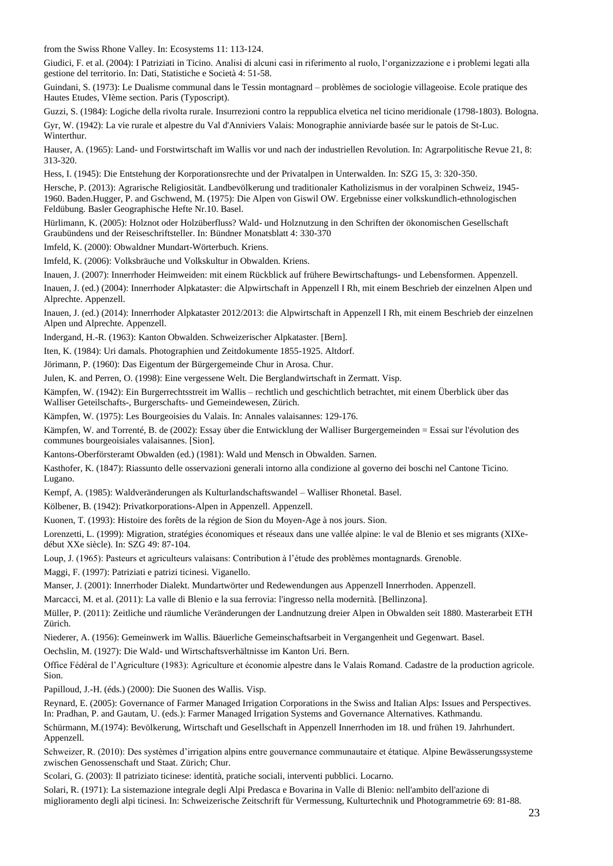from the Swiss Rhone Valley. In: Ecosystems 11: 113-124.

Giudici, F. et al. (2004): I Patriziati in Ticino. Analisi di alcuni casi in riferimento al ruolo, l'organizzazione e i problemi legati alla gestione del territorio. In: Dati, Statistiche e Società 4: 51-58.

Guindani, S. (1973): Le Dualisme communal dans le Tessin montagnard – problèmes de sociologie villageoise. Ecole pratique des Hautes Etudes, VIème section. Paris (Typoscript).

Guzzi, S. (1984): Logiche della rivolta rurale. Insurrezioni contro la reppublica elvetica nel ticino meridionale (1798-1803). Bologna. Gyr, W. (1942): [La vie rurale et alpestre du Val d'Anniviers Valais: Monographie anniviarde basée sur le patois de St-Luc.](http://www.helveticat.ch/lib/item?id=chamo:597112&theme=Helveticat) Winterthur.

Hauser, A. (1965): Land- und Forstwirtschaft im Wallis vor und nach der industriellen Revolution. In: Agrarpolitische Revue 21, 8: 313-320.

Hess, I. (1945): Die Entstehung der Korporationsrechte und der Privatalpen in Unterwalden. In: SZG 15, 3: 320-350.

Hersche, P. (2013): Agrarische Religiosität. Landbevölkerung und traditionaler Katholizismus in der voralpinen Schweiz, 1945- 1960. Baden.Hugger, P. and Gschwend, M. (1975): Die Alpen von Giswil OW. Ergebnisse einer volkskundlich-ethnologischen Feldübung. Basler Geographische Hefte Nr.10. Basel.

Hürlimann, K. (2005): Holznot oder Holzüberfluss? Wald- und Holznutzung in den Schriften der ökonomischen Gesellschaft Graubündens und der Reiseschriftsteller. In: Bündner Monatsblatt 4: 330-370

Imfeld, K. (2000): Obwaldner Mundart-Wörterbuch. Kriens.

Imfeld, K. (2006): Volksbräuche und Volkskultur in Obwalden. Kriens.

Inauen, J. (2007): Innerrhoder Heimweiden: mit einem Rückblick auf frühere Bewirtschaftungs- und Lebensformen. Appenzell.

Inauen, J. (ed.) (2004): Innerrhoder Alpkataster: die Alpwirtschaft in Appenzell I Rh, mit einem Beschrieb der einzelnen Alpen und Alprechte. Appenzell.

Inauen, J. (ed.) (2014): Innerrhoder Alpkataster 2012/2013: die Alpwirtschaft in Appenzell I Rh, mit einem Beschrieb der einzelnen Alpen und Alprechte. Appenzell.

Indergand, H.-R. (1963): Kanton Obwalden. Schweizerischer Alpkataster. [Bern].

Iten, K. (1984): Uri damals. Photographien und Zeitdokumente 1855-1925. Altdorf.

Jörimann, P. (1960): Das Eigentum der Bürgergemeinde Chur in Arosa. Chur.

Julen, K. and Perren, O. (1998): Eine vergessene Welt. Die Berglandwirtschaft in Zermatt. Visp.

Kämpfen, W. (1942): Ein Burgerrechtsstreit im Wallis – rechtlich und geschichtlich betrachtet, mit einem Überblick über das Walliser Geteilschafts-, Burgerschafts- und Gemeindewesen, Zürich.

Kämpfen, W. (1975): Les Bourgeoisies du Valais. In: Annales valaisannes: 129-176.

Kämpfen, W. and Torrenté, B. de (2002): Essay über die Entwicklung der Walliser Burgergemeinden = Essai sur l'évolution des communes bourgeoisiales valaisannes. [Sion].

Kantons-Oberförsteramt Obwalden (ed.) (1981): Wald und Mensch in Obwalden. Sarnen.

Kasthofer, K. (1847): Riassunto delle osservazioni generali intorno alla condizione al governo dei boschi nel Cantone Ticino. Lugano.

Kempf, A. (1985): Waldveränderungen als Kulturlandschaftswandel – Walliser Rhonetal. Basel.

Kölbener, B. (1942): Privatkorporations-Alpen in Appenzell. Appenzell.

Kuonen, T. (1993): Histoire des forêts de la région de Sion du Moyen-Age à nos jours. Sion.

Lorenzetti, L. (1999): Migration, stratégies économiques et réseaux dans une vallée alpine: le val de Blenio et ses migrants (XIXedébut XXe siècle). In[: SZG](https://de.wikipedia.org/wiki/Schweizerische_Zeitschrift_f%C3%BCr_Geschichte) 49: 87-104.

Loup, J. (1965): Pasteurs et agriculteurs valaisans: Contribution à l'étude des problèmes montagnards. Grenoble.

Maggi, F. (1997): Patriziati e patrizi ticinesi. Viganello.

Manser, J. (2001): Innerrhoder Dialekt. Mundartwörter und Redewendungen aus Appenzell Innerrhoden. Appenzell.

Marcacci, M. et al. (2011)[: La valle di Blenio e la sua ferrovia: l'ingresso nella modernità. \[](http://opac.admin.ch:9080/lib/item?id=chamo:1646584&theme=Helveticat)Bellinzona].

Müller, P. (2011): Zeitliche und räumliche Veränderungen der Landnutzung dreier Alpen in Obwalden seit 1880. Masterarbeit ETH Zürich.

Niederer, A. (1956): Gemeinwerk im Wallis. Bäuerliche Gemeinschaftsarbeit in Vergangenheit und Gegenwart. Basel.

Oechslin, M. (1927): Die Wald- und Wirtschaftsverhältnisse im Kanton Uri. Bern.

Office Fédéral de l'Agriculture (1983): Agriculture et économie alpestre dans le Valais Romand. Cadastre de la production agricole. Sion.

Papilloud, J.-H. (éds.) (2000): Die Suonen des Wallis. Visp.

Reynard, E. (2005): Governance of Farmer Managed Irrigation Corporations in the Swiss and Italian Alps: Issues and Perspectives. In: Pradhan, P. and Gautam, U. (eds.): Farmer Managed Irrigation Systems and Governance Alternatives. Kathmandu.

Schürmann, M.(1974): Bevölkerung, Wirtschaft und Gesellschaft in Appenzell Innerrhoden im 18. und frühen 19. Jahrhundert. Appenzell.

Schweizer, R. (2010): Des systèmes d'irrigation alpins entre gouvernance communautaire et étatique. Alpine Bewässerungssysteme zwischen Genossenschaft und Staat. Zürich; Chur.

Scolari, G. (2003): Il patriziato ticinese: identità, pratiche sociali, interventi pubblici. Locarno.

Solari, R. (1971): La sistemazione integrale degli Alpi Predasca e Bovarina in Valle di Blenio: nell'ambito dell'azione di miglioramento degli alpi ticinesi. In: Schweizerische Zeitschrift für Vermessung, Kulturtechnik und Photogrammetrie 69: 81-88.